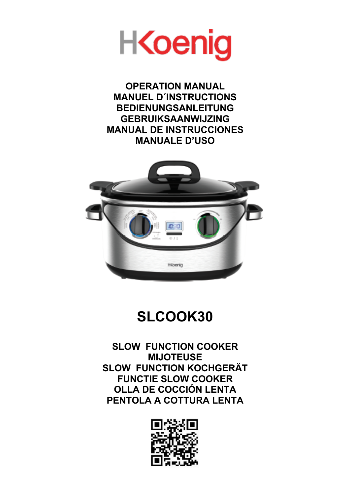

**OPERATION MANUAL MANUEL D´INSTRUCTIONS BEDIENUNGSANLEITUNG GEBRUIKSAANWIJZING MANUAL DE INSTRUCCIONES MANUALE D'USO**



## **SLCOOK30**

**SLOW FUNCTION COOKER MIJOTEUSE SLOW FUNCTION KOCHGERÄT FUNCTIE SLOW COOKER OLLA DE COCCIÓN LENTA PENTOLA A COTTURA LENTA**

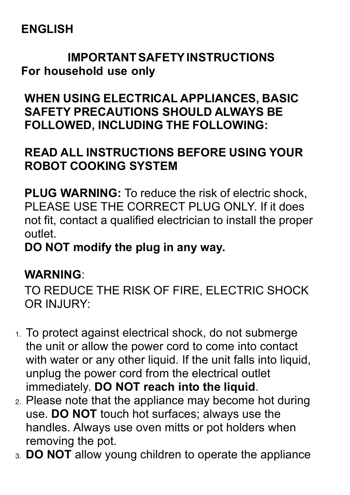## **ENGLISH**

## **IMPORTANT SAFETYINSTRUCTIONS For household use only**

**WHEN USING ELECTRICAL APPLIANCES, BASIC SAFETY PRECAUTIONS SHOULD ALWAYS BE FOLLOWED, INCLUDING THE FOLLOWING:**

## **READ ALL INSTRUCTIONS BEFORE USING YOUR ROBOT COOKING SYSTEM**

**PLUG WARNING:** To reduce the risk of electric shock, PLEASE USE THE CORRECT PLUG ONLY. If it does not fit, contact a qualified electrician to install the proper outlet.

**DO NOT modify the plug in any way.**

## **WARNING**:

TO REDUCE THE RISK OF FIRE, ELECTRIC SHOCK OR INJURY:

- 1. To protect against electrical shock, do not submerge the unit or allow the power cord to come into contact with water or any other liquid. If the unit falls into liquid, unplug the power cord from the electrical outlet immediately. **DO NOT reach into the liquid**.
- 2. Please note that the appliance may become hot during use. **DO NOT** touch hot surfaces; always use the handles. Always use oven mitts or pot holders when removing the pot.
- 3. **DO NOT** allow young children to operate the appliance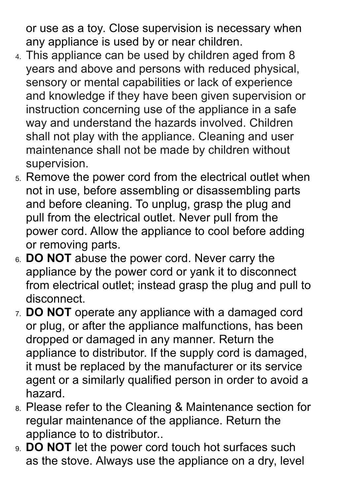or use as a toy. Close supervision is necessary when any appliance is used by or near children.

- 4. This appliance can be used by children aged from 8 years and above and persons with reduced physical, sensory or mental capabilities or lack of experience and knowledge if they have been given supervision or instruction concerning use of the appliance in a safe way and understand the hazards involved. Children shall not play with the appliance. Cleaning and user maintenance shall not be made by children without supervision.
- 5. Remove the power cord from the electrical outlet when not in use, before assembling or disassembling parts and before cleaning. To unplug, grasp the plug and pull from the electrical outlet. Never pull from the power cord. Allow the appliance to cool before adding or removing parts.
- 6. **DO NOT** abuse the power cord. Never carry the appliance by the power cord or yank it to disconnect from electrical outlet; instead grasp the plug and pull to disconnect.
- 7. **DO NOT** operate any appliance with a damaged cord or plug, or after the appliance malfunctions, has been dropped or damaged in any manner. Return the appliance to distributor. If the supply cord is damaged, it must be replaced by the manufacturer or its service agent or a similarly qualified person in order to avoid a hazard.
- 8. Please refer to the Cleaning & Maintenance section for regular maintenance of the appliance. Return the appliance to to distributor..
- 9. **DO NOT** let the power cord touch hot surfaces such as the stove. Always use the appliance on a dry, level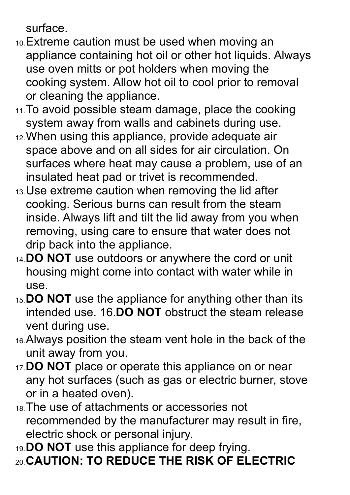surface.

- 10.Extreme caution must be used when moving an appliance containing hot oil or other hot liquids. Always use oven mitts or pot holders when moving the cooking system. Allow hot oil to cool prior to removal or cleaning the appliance.
- 11. To avoid possible steam damage, place the cooking system away from walls and cabinets during use.
- 12.When using this appliance, provide adequate air space above and on all sides for air circulation. On surfaces where heat may cause a problem, use of an insulated heat pad or trivet is recommended.
- 13.Use extreme caution when removing the lid after cooking. Serious burns can result from the steam inside. Always lift and tilt the lid away from you when removing, using care to ensure that water does not drip back into the appliance.
- 14.**DO NOT** use outdoors or anywhere the cord or unit housing might come into contact with water while in use.
- 15.**DO NOT** use the appliance for anything other than its intended use. 16.**DO NOT** obstruct the steam release vent during use.
- 16.Always position the steam vent hole in the back of the unit away from you.
- 17.**DO NOT** place or operate this appliance on or near any hot surfaces (such as gas or electric burner, stove or in a heated oven).
- 18.The use of attachments or accessories not recommended by the manufacturer may result in fire, electric shock or personal injury.
- 19.**DO NOT** use this appliance for deep frying. 20.**CAUTION: TO REDUCE THE RISK OF ELECTRIC**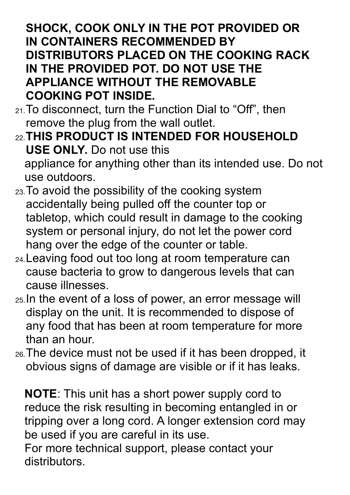## **SHOCK, COOK ONLY IN THE POT PROVIDED OR IN CONTAINERS RECOMMENDED BY DISTRIBUTORS PLACED ON THE COOKING RACK IN THE PROVIDED POT. DO NOT USE THE APPLIANCE WITHOUT THE REMOVABLE COOKING POT INSIDE.**

- 21.To disconnect, turn the Function Dial to "Off", then remove the plug from the wall outlet.
- 22.**THIS PRODUCT IS INTENDED FOR HOUSEHOLD USE ONLY.** Do not use this appliance for anything other than its intended use. Do not use outdoors.
- 23.To avoid the possibility of the cooking system accidentally being pulled off the counter top or tabletop, which could result in damage to the cooking system or personal injury, do not let the power cord hang over the edge of the counter or table.
- 24.Leaving food out too long at room temperature can cause bacteria to grow to dangerous levels that can cause illnesses.
- 25.In the event of a loss of power, an error message will display on the unit. It is recommended to dispose of any food that has been at room temperature for more than an hour.
- 26.The device must not be used if it has been dropped, it obvious signs of damage are visible or if it has leaks.

**NOTE**: This unit has a short power supply cord to reduce the risk resulting in becoming entangled in or tripping over a long cord. A longer extension cord may be used if you are careful in its use.

For more technical support, please contact your distributors.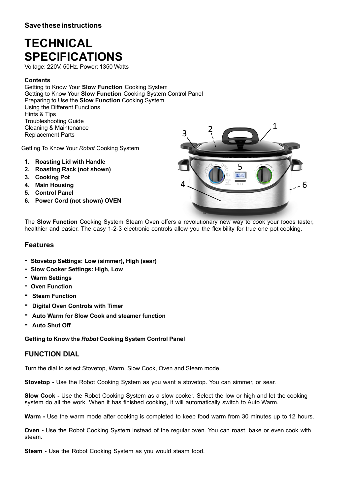## **TECHNICAL SPECIFICATIONS**

Voltage: 220V. 50Hz. Power: 1350 Watts

### **Contents**

Getting to Know Your **Slow Function** Cooking System Getting to Know Your **Slow Function** Cooking System Control Panel Preparing to Use the **Slow Function** Cooking System Using the Different Functions Hints & Tips Troubleshooting Guide Cleaning & Maintenance Replacement Parts

Getting To Know Your *Robot* Cooking System

- **1. Roasting Lid with Handle**
- **2. Roasting Rack (not shown)**
- **3. Cooking Pot**
- **4. Main Housing**
- 
- **5. Control Panel 6. Power Cord (not shown) OVEN**



The **Slow Function** Cooking System Steam Oven offers a revolutionary new way to cook your foods faster, healthier and easier. The easy 1-2-3 electronic controls allow you the flexibility for true one pot cooking.

## **Features**

- **- Stovetop Settings: Low (simmer), High (sear)**
- **- Slow Cooker Settings: High, Low**
- **- Warm Settings**
- **- Oven Function**
- **- Steam Function**
- **- Digital Oven Controls with Timer**
- **- Auto Warm for Slow Cook and steamer function**
- **- Auto Shut Off**

### **Getting to Know the** *Robot* **Cooking System Control Panel**

## **FUNCTION DIAL**

Turn the dial to select Stovetop, Warm, Slow Cook, Oven and Steam mode.

**Stovetop -** Use the Robot Cooking System as you want a stovetop. You can simmer, or sear.

**Slow Cook -** Use the Robot Cooking System as a slow cooker. Select the low or high and let the cooking system do all the work. When it has finished cooking, it will automatically switch to Auto Warm.

**Warm -** Use the warm mode after cooking is completed to keep food warm from 30 minutes up to 12 hours.

**Oven -** Use the Robot Cooking System instead of the regular oven. You can roast, bake or even cook with steam.

**Steam -** Use the Robot Cooking System as you would steam food.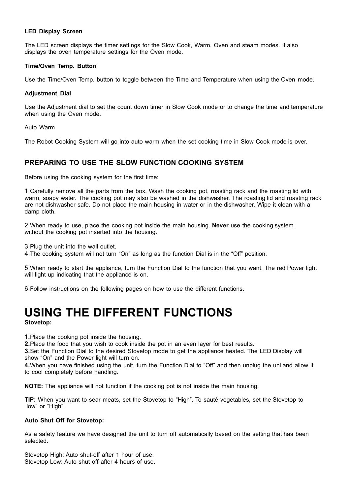### **LED Display Screen**

The LED screen displays the timer settings for the Slow Cook, Warm, Oven and steam modes. It also displays the oven temperature settings for the Oven mode.

### **Time/Oven Temp. Button**

Use the Time/Oven Temp. button to toggle between the Time and Temperature when using the Oven mode.

### **Adjustment Dial**

Use the Adjustment dial to set the count down timer in Slow Cook mode or to change the time and temperature when using the Oven mode.

Auto Warm

The Robot Cooking System will go into auto warm when the set cooking time in Slow Cook mode is over.

## **PREPARING TO USE THE SLOW FUNCTION COOKING SYSTEM**

Before using the cooking system for the first time:

1.Carefully remove all the parts from the box. Wash the cooking pot, roasting rack and the roasting lid with warm, soapy water. The cooking pot may also be washed in the dishwasher. The roasting lid and roasting rack are not dishwasher safe. Do not place the main housing in water or in the dishwasher. Wipe it clean with a damp cloth.

2.When ready to use, place the cooking pot inside the main housing. **Never** use the cooking system without the cooking pot inserted into the housing.

3.Plug the unit into the wall outlet.

4.The cooking system will not turn "On" as long as the function Dial is in the "Off" position.

5.When ready to start the appliance, turn the Function Dial to the function that you want. The red Power light will light up indicating that the appliance is on.

6.Follow instructions on the following pages on how to use the different functions.

## **USING THE DIFFERENT FUNCTIONS**

**Stovetop:**

**1.**Place the cooking pot inside the housing.

**2.**Place the food that you wish to cook inside the pot in an even layer for best results.

**3.**Set the Function Dial to the desired Stovetop mode to get the appliance heated. The LED Display will show "On" and the Power light will turn on.

**4.**When you have finished using the unit, turn the Function Dial to "Off" and then unplug the uni and allow it to cool completely before handling.

**NOTE:** The appliance will not function if the cooking pot is not inside the main housing.

**TIP:** When you want to sear meats, set the Stovetop to "High". To sauté vegetables, set the Stovetop to "low" or "High".

#### **Auto Shut Off for Stovetop:**

As a safety feature we have designed the unit to turn off automatically based on the setting that has been selected.

Stovetop High: Auto shut-off after 1 hour of use. Stovetop Low: Auto shut off after 4 hours of use.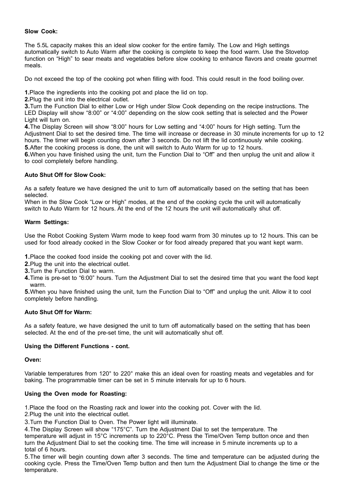### **Slow Cook:**

The 5.5L capacity makes this an ideal slow cooker for the entire family. The Low and High settings automatically switch to Auto Warm after the cooking is complete to keep the food warm. Use the Stovetop function on "High" to sear meats and vegetables before slow cooking to enhance flavors and create gourmet meals.

Do not exceed the top of the cooking pot when filling with food. This could result in the food boiling over.

**1.**Place the ingredients into the cooking pot and place the lid on top.

**2.**Plug the unit into the electrical outlet.

**3.**Turn the Function Dial to either Low or High under Slow Cook depending on the recipe instructions. The LED Display will show "8:00" or "4:00" depending on the slow cook setting that is selected and the Power Light will turn on.

**4.**The Display Screen will show "8:00" hours for Low setting and "4:00" hours for High setting. Turn the Adjustment Dial to set the desired time. The time will increase or decrease in 30 minute increments for up to 12 hours. The timer will begin counting down after 3 seconds. Do not lift the lid continuously while cooking. **5.**After the cooking process is done, the unit will switch to Auto Warm for up to 12 hours.

**6.**When you have finished using the unit, turn the Function Dial to "Off" and then unplug the unit and allow it to cool completely before handling.

### **Auto Shut Off for Slow Cook:**

As a safety feature we have designed the unit to turn off automatically based on the setting that has been selected.

When in the Slow Cook "Low or High" modes, at the end of the cooking cycle the unit will automatically switch to Auto Warm for 12 hours. At the end of the 12 hours the unit will automatically shut off.

### **Warm Settings:**

Use the Robot Cooking System Warm mode to keep food warm from 30 minutes up to 12 hours. This can be used for food already cooked in the Slow Cooker or for food already prepared that you want kept warm.

**1.**Place the cooked food inside the cooking pot and cover with the lid.

**2.**Plug the unit into the electrical outlet.

**3.**Turn the Function Dial to warm.

**4.**Time is pre-set to "6:00" hours. Turn the Adjustment Dial to set the desired time that you want the food kept warm.

**5.**When you have finished using the unit, turn the Function Dial to "Off" and unplug the unit. Allow it to cool completely before handling.

#### **Auto Shut Off for Warm:**

As a safety feature, we have designed the unit to turn off automatically based on the setting that has been selected. At the end of the pre-set time, the unit will automatically shut off.

#### **Using the Different Functions - cont.**

**Oven:**

Variable temperatures from 120° to 220° make this an ideal oven for roasting meats and vegetables and for baking. The programmable timer can be set in 5 minute intervals for up to 6 hours.

### **Using the Oven mode for Roasting:**

1.Place the food on the Roasting rack and lower into the cooking pot. Cover with the lid.

2.Plug the unit into the electrical outlet.

3.Turn the Function Dial to Oven. The Power light will illuminate.

4.The Display Screen will show "175°C". Turn the Adjustment Dial to set the temperature. The

temperature will adjust in 15°C increments up to 220°C. Press the Time/Oven Temp button once and then turn the Adjustment Dial to set the cooking time. The time will increase in 5 minute increments up to a total of 6 hours.

5.The timer will begin counting down after 3 seconds. The time and temperature can be adjusted during the cooking cycle. Press the Time/Oven Temp button and then turn the Adjustment Dial to change the time or the temperature.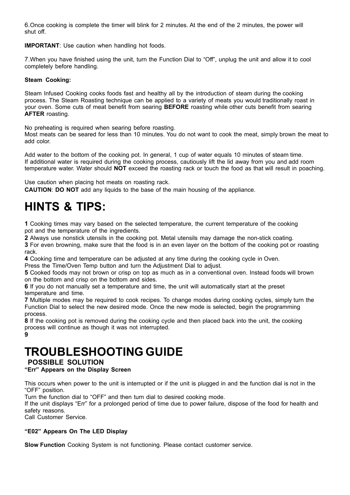6.Once cooking is complete the timer will blink for 2 minutes. At the end of the 2 minutes, the power will shut off.

**IMPORTANT:** Use caution when handling hot foods.

7.When you have finished using the unit, turn the Function Dial to "Off", unplug the unit and allow it to cool completely before handling.

### **Steam Cooking:**

Steam Infused Cooking cooks foods fast and healthy all by the introduction of steam during the cooking process. The Steam Roasting technique can be applied to a variety of meats you would traditionally roast in your oven. Some cuts of meat benefit from searing **BEFORE** roasting while other cuts benefit from searing **AFTER** roasting.

No preheating is required when searing before roasting.

Most meats can be seared for less than 10 minutes. You do not want to cook the meat, simply brown the meat to add color.

Add water to the bottom of the cooking pot. In general, 1 cup of water equals 10 minutes of steam time. If additional water is required during the cooking process, cautiously lift the lid away from you and add room temperature water. Water should **NOT** exceed the roasting rack or touch the food as that will result in poaching.

Use caution when placing hot meats on roasting rack.

**CAUTION**: **DO NOT** add any liquids to the base of the main housing of the appliance.

## **HINTS & TIPS:**

**1** Cooking times may vary based on the selected temperature, the current temperature of the cooking pot and the temperature of the ingredients.

**2** Always use nonstick utensils in the cooking pot. Metal utensils may damage the non-stick coating.

**3** For even browning, make sure that the food is in an even layer on the bottom of the cooking pot or roasting rack.

**4** Cooking time and temperature can be adjusted at any time during the cooking cycle in Oven.

Press the Time/Oven Temp button and turn the Adjustment Dial to adjust.

**5** Cooked foods may not brown or crisp on top as much as in a conventional oven. Instead foods will brown on the bottom and crisp on the bottom and sides.

**6** If you do not manually set a temperature and time, the unit will automatically start at the preset temperature and time.

**7** Multiple modes may be required to cook recipes. To change modes during cooking cycles, simply turn the Function Dial to select the new desired mode. Once the new mode is selected, begin the programming process.

**8** If the cooking pot is removed during the cooking cycle and then placed back into the unit, the cooking process will continue as though it was not interrupted.

**9**

# **TROUBLESHOOTING GUIDE POSSIBLE SOLUTION**

**"Err" Appears on the Display Screen**

This occurs when power to the unit is interrupted or if the unit is plugged in and the function dial is not in the "OFF" position.

Turn the function dial to "OFF" and then turn dial to desired cooking mode.

If the unit displays "Err" for a prolonged period of time due to power failure, dispose of the food for health and safety reasons.

Call Customer Service.

### **"E02" Appears On The LED Display**

**Slow Function** Cooking System is not functioning. Please contact customer service.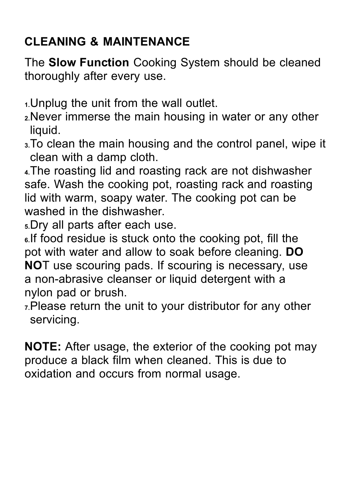## **CLEANING & MAINTENANCE**

The **Slow Function** Cooking System should be cleaned thoroughly after every use.

**1.**Unplug the unit from the wall outlet.

- **2.**Never immerse the main housing in water or any other liquid.
- **3.**To clean the main housing and the control panel, wipe it clean with a damp cloth.

**4.**The roasting lid and roasting rack are not dishwasher safe. Wash the cooking pot, roasting rack and roasting lid with warm, soapy water. The cooking pot can be washed in the dishwasher.

**5.**Dry all parts after each use.

**6.**If food residue is stuck onto the cooking pot, fill the pot with water and allow to soak before cleaning. **DO NO**T use scouring pads. If scouring is necessary, use a non-abrasive cleanser or liquid detergent with a nylon pad or brush.

**7.**Please return the unit to your distributor for any other servicing.

**NOTE:** After usage, the exterior of the cooking pot may produce a black film when cleaned. This is due to oxidation and occurs from normal usage.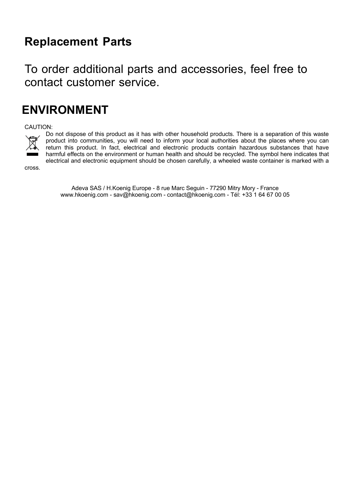## **Replacement Parts**

To order additional parts and accessories, feel free to contact customer service.

## **ENVIRONMENT**

CAUTION:



Do not dispose of this product as it has with other household products. There is a separation of this waste product into communities, you will need to inform your local authorities about the places where you can return this product. In fact, electrical and electronic products contain hazardous substances that have harmful effects on the environment or human health and should be recycled. The symbol here indicates that electrical and electronic equipment should be chosen carefully, a wheeled waste container is marked with a

cross.

Adeva SAS / H.Koenig Europe - 8 rue Marc Seguin - 77290 Mitry Mory - France www.hkoenig.com - sav@hkoenig.com - contact@hkoenig.com - Tél: +33 1 64 67 00 05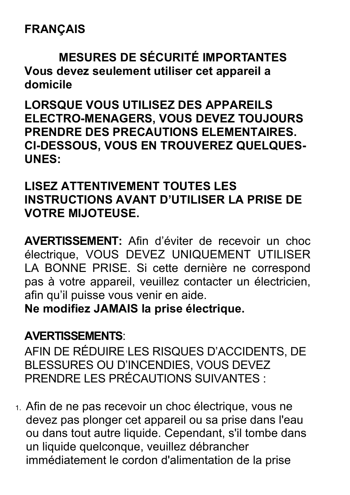## **FRANÇAIS**

## **MESURES DE SÉCURITÉ IMPORTANTES Vous devez seulement utiliser cet appareil a domicile**

**LORSQUE VOUS UTILISEZ DES APPAREILS ELECTRO-MENAGERS, VOUS DEVEZ TOUJOURS PRENDRE DES PRECAUTIONS ELEMENTAIRES. CI-DESSOUS, VOUS EN TROUVEREZ QUELQUES-UNES:**

## **LISEZ ATTENTIVEMENT TOUTES LES INSTRUCTIONS AVANT D'UTILISER LA PRISE DE VOTRE MIJOTEUSE.**

**AVERTISSEMENT:** Afin d'éviter de recevoir un choc électrique, VOUS DEVEZ UNIQUEMENT UTILISER LA BONNE PRISE. Si cette dernière ne correspond pas à votre appareil, veuillez contacter un électricien, afin qu'il puisse vous venir en aide.

**Ne modifiez JAMAIS la prise électrique.**

## **AVERTISSEMENTS**:

AFIN DE RÉDUIRE LES RISQUES D'ACCIDENTS, DE BLESSURES OU D'INCENDIES, VOUS DEVEZ PRENDRE LES PRÉCAUTIONS SUIVANTES :

1. Afin de ne pas recevoir un choc électrique, vous ne devez pas plonger cet appareil ou sa prise dans l'eau ou dans tout autre liquide. Cependant, s'il tombe dans un liquide quelconque, veuillez débrancher immédiatement le cordon d'alimentation de la prise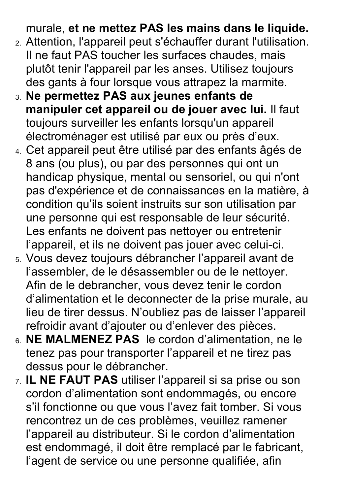murale, **et ne mettez PAS les mains dans le liquide.**

- 2. Attention, l'appareil peut s'échauffer durant l'utilisation. Il ne faut PAS toucher les surfaces chaudes, mais plutôt tenir l'appareil par les anses. Utilisez toujours des gants à four lorsque vous attrapez la marmite.
- 3. **Ne permettez PAS aux jeunes enfants de manipuler cet appareil ou de jouer avec lui.** Il faut toujours surveiller les enfants lorsqu'un appareil électroménager est utilisé par eux ou près d'eux.
- 4. Cet appareil peut être utilisé par des enfants âgés de 8 ans (ou plus), ou par des personnes qui ont un handicap physique, mental ou sensoriel, ou qui n'ont pas d'expérience et de connaissances en la matière, à condition qu'ils soient instruits sur son utilisation par une personne qui est responsable de leur sécurité. Les enfants ne doivent pas nettoyer ou entretenir l'appareil, et ils ne doivent pas jouer avec celui-ci.
- 5. Vous devez toujours débrancher l'appareil avant de l'assembler, de le désassembler ou de le nettoyer. Afin de le debrancher, vous devez tenir le cordon d'alimentation et le deconnecter de la prise murale, au lieu de tirer dessus. N'oubliez pas de laisser l'appareil refroidir avant d'ajouter ou d'enlever des pièces.
- 6. **NE MALMENEZ PAS** le cordon d'alimentation, ne le tenez pas pour transporter l'appareil et ne tirez pas dessus pour le débrancher.
- 7. **IL NE FAUT PAS** utiliser l'appareil si sa prise ou son cordon d'alimentation sont endommagés, ou encore s'il fonctionne ou que vous l'avez fait tomber. Si vous rencontrez un de ces problèmes, veuillez ramener l'appareil au distributeur. Si le cordon d'alimentation est endommagé, il doit être remplacé par le fabricant, l'agent de service ou une personne qualifiée, afin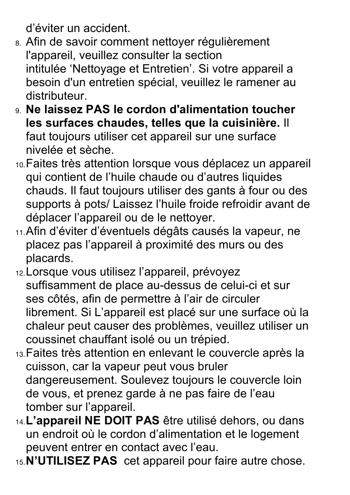d'éviter un accident.

- 8. Afin de savoir comment nettoyer régulièrement l'appareil, veuillez consulter la section intitulée 'Nettoyage et Entretien'. Si votre appareil a besoin d'un entretien spécial, veuillez le ramener au distributeur.
- 9. **Ne laissez PAS le cordon d'alimentation toucher les surfaces chaudes, telles que la cuisinière.** Il faut toujours utiliser cet appareil sur une surface nivelée et sèche.
- 10.Faites très attention lorsque vous déplacez un appareil qui contient de l'huile chaude ou d'autres liquides chauds. Il faut toujours utiliser des gants à four ou des supports à pots/ Laissez l'huile froide refroidir avant de déplacer l'appareil ou de le nettoyer.
- 11.Afin d'éviter d'éventuels dégâts causés la vapeur, ne placez pas l'appareil à proximité des murs ou des placards.
- 12.Lorsque vous utilisez l'appareil, prévoyez suffisamment de place au-dessus de celui-ci et sur ses côtés, afin de permettre à l'air de circuler librement. Si L'appareil est placé sur une surface où la chaleur peut causer des problèmes, veuillez utiliser un coussinet chauffant isolé ou un trépied.
- 13.Faites très attention en enlevant le couvercle après la cuisson, car la vapeur peut vous bruler dangereusement. Soulevez toujours le couvercle loin de vous, et prenez garde à ne pas faire de l'eau tomber sur l'appareil.
- 14.**L'appareil NE DOIT PAS** être utilisé dehors, ou dans un endroit où le cordon d'alimentation et le logement peuvent entrer en contact avec l'eau.
- 15.**N'UTILISEZ PAS** cet appareil pour faire autre chose.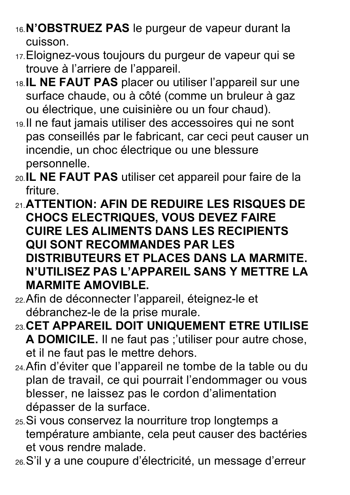- 16.**N'OBSTRUEZ PAS** le purgeur de vapeur durant la cuisson.
- 17.Eloignez-vous toujours du purgeur de vapeur qui se trouve à l'arriere de l'appareil.
- 18.**IL NE FAUT PAS** placer ou utiliser l'appareil sur une surface chaude, ou à côté (comme un bruleur à gaz ou électrique, une cuisinière ou un four chaud).
- 19.Il ne faut jamais utiliser des accessoires qui ne sont pas conseillés par le fabricant, car ceci peut causer un incendie, un choc électrique ou une blessure personnelle.
- 20.**IL NE FAUT PAS** utiliser cet appareil pour faire de la friture.
- 21.**ATTENTION: AFIN DE REDUIRE LES RISQUES DE CHOCS ELECTRIQUES, VOUS DEVEZ FAIRE CUIRE LES ALIMENTS DANS LES RECIPIENTS QUI SONT RECOMMANDES PAR LES DISTRIBUTEURS ET PLACES DANS LA MARMITE. N'UTILISEZ PAS L'APPAREIL SANS Y METTRE LA MARMITE AMOVIBLE.**
- 22.Afin de déconnecter l'appareil, éteignez-le et débranchez-le de la prise murale.
- 23.**CET APPAREIL DOIT UNIQUEMENT ETRE UTILISE A DOMICILE.** Il ne faut pas ;'utiliser pour autre chose, et il ne faut pas le mettre dehors.
- 24.Afin d'éviter que l'appareil ne tombe de la table ou du plan de travail, ce qui pourrait l'endommager ou vous blesser, ne laissez pas le cordon d'alimentation dépasser de la surface.
- 25.Si vous conservez la nourriture trop longtemps a température ambiante, cela peut causer des bactéries et vous rendre malade.
- 26.S'il y a une coupure d'électricité, un message d'erreur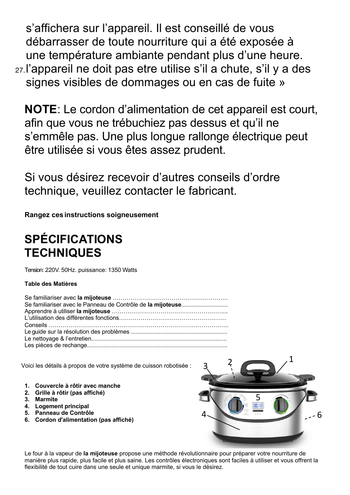s'affichera sur l'appareil. Il est conseillé de vous débarrasser de toute nourriture qui a été exposée à une température ambiante pendant plus d'une heure. 27.l'appareil ne doit pas etre utilise s'il a chute, s'il y a des signes visibles de dommages ou en cas de fuite »

**NOTE**: Le cordon d'alimentation de cet appareil est court, afin que vous ne trébuchiez pas dessus et qu'il ne s'emmêle pas. Une plus longue rallonge électrique peut être utilisée si vous êtes assez prudent.

Si vous désirez recevoir d'autres conseils d'ordre technique, veuillez contacter le fabricant.

**Rangez ces instructions soigneusement**

## **SPÉCIFICATIONS TECHNIQUES**

Tension: 220V. 50Hz. puissance: 1350 Watts

## **Table des Matières**

| Se familiariser avec le Panneau de Contrôle de la mijoteuse |
|-------------------------------------------------------------|
|                                                             |
|                                                             |
|                                                             |
|                                                             |
|                                                             |
|                                                             |

Voici les détails à propos de votre système de cuisson robotisée :

- **1. Couvercle à rôtir avec manche**
- **2. Grille à rôtir (pas affiché)**
- **3. Marmite**
- **4. Logement principal**
- **5. Panneau de Contrôle**
- **6. Cordon d'alimentation (pas affiché)**



Le four à la vapeur de **la mijoteuse** propose une méthode révolutionnaire pour préparer votre nourriture de manière plus rapide, plus facile et plus saine. Les contrôles électroniques sont faciles à utiliser et vous offrent la flexibilité de tout cuire dans une seule et unique marmite, si vous le désirez.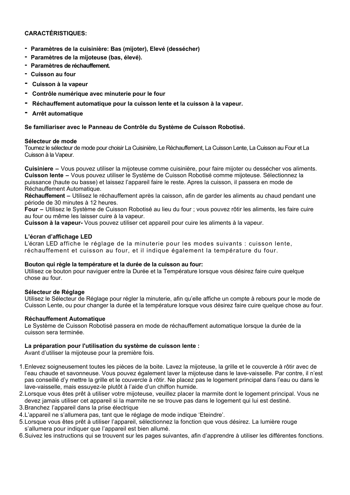### **CARACTÉRISTIQUES:**

- **- Paramètres de la cuisinière: Bas (mijoter), Elevé (dessécher)**
- **- Paramètres de la mijoteuse (bas, élevé).**
- **- Paramètres de réchauffement.**
- **- Cuisson au four**
- **- Cuisson à la vapeur**
- **- Contrôle numérique avec minuterie pour le four**
- **- Réchauffement automatique pour la cuisson lente et la cuisson à la vapeur.**
- **- Arrêt automatique**

### **Se familiariser avec le Panneau de Contrôle du Système de Cuisson Robotisé.**

### **Sélecteur de mode**

Tournez le sélecteur de mode pour choisir La Cuisinière, Le Réchauffement, La Cuisson Lente, La Cuisson au Four et La Cuisson à la Vapeur.

**Cuisiniere –** Vous pouvez utiliser la mijoteuse comme cuisinière, pour faire mijoter ou dessécher vos aliments. **Cuisson lente –** Vous pouvez utiliser le Système de Cuisson Robotisé comme mijoteuse. Sélectionnez la puissance (haute ou basse) et laissez l'appareil faire le reste. Apres la cuisson, il passera en mode de Réchauffement Automatique.

**Réchauffement –** Utilisez le réchauffement après la caisson, afin de garder les aliments au chaud pendant une période de 30 minutes à 12 heures.

**Four –** Utilisez le Système de Cuisson Robotisé au lieu du four ; vous pouvez rôtir les aliments, les faire cuire au four ou même les laisser cuire à la vapeur.

**Cuisson à la vapeur-** Vous pouvez utiliser cet appareil pour cuire les aliments à la vapeur.

### **L'écran d'affichage LED**

L'écran LED affiche le réglage de la minuterie pour les modes suivants : cuisson lente, réchauffement et cuisson au four, et il indique également la température du four.

#### **Bouton qui règle la température et la durée de la cuisson au four:**

Utilisez ce bouton pour naviguer entre la Durée et la Température lorsque vous désirez faire cuire quelque chose au four.

### **Sélecteur de Réglage**

Utilisez le Sélecteur de Réglage pour régler la minuterie, afin qu'elle affiche un compte à rebours pour le mode de Cuisson Lente, ou pour changer la durée et la température lorsque vous désirez faire cuire quelque chose au four.

### **Réchauffement Automatique**

Le Système de Cuisson Robotisé passera en mode de réchauffement automatique lorsque la durée de la cuisson sera terminée.

### **La préparation pour l'utilisation du système de cuisson lente :**

Avant d'utiliser la mijoteuse pour la première fois.

- 1.Enlevez soigneusement toutes les pièces de la boite. Lavez la mijoteuse, la grille et le couvercle à rôtir avec de l'eau chaude et savonneuse. Vous pouvez également laver la mijoteuse dans le lave-vaisselle. Par contre, il n'est pas conseillé d'y mettre la grille et le couvercle à rôtir. Ne placez pas le logement principal dans l'eau ou dans le lave-vaisselle, mais essuyez-le plutôt à l'aide d'un chiffon humide.
- 2.Lorsque vous êtes prêt à utiliser votre mijoteuse, veuillez placer la marmite dont le logement principal. Vous ne devez jamais utiliser cet appareil si la marmite ne se trouve pas dans le logement qui lui est destiné.
- 3.Branchez l'appareil dans la prise électrique
- 4.L'appareil ne s'allumera pas, tant que le réglage de mode indique 'Eteindre'.
- 5.Lorsque vous êtes prêt à utiliser l'appareil, sélectionnez la fonction que vous désirez. La lumière rouge s'allumera pour indiquer que l'appareil est bien allumé.
- 6.Suivez les instructions qui se trouvent sur les pages suivantes, afin d'apprendre à utiliser les différentes fonctions.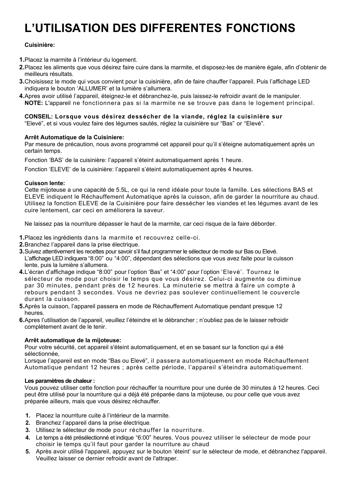## **L'UTILISATION DES DIFFERENTES FONCTIONS**

## **Cuisinière:**

**1.**Placez la marmite à l'intérieur du logement.

- **2.**Placez les aliments que vous désirez faire cuire dans la marmite, et disposez-les de manière égale, afin d'obtenir de meilleurs résultats.
- **3.**Choisissez le mode qui vous convient pour la cuisinière, afin de faire chauffer l'appareil. Puis l'affichage LED indiquera le bouton 'ALLUMER' et la lumière s'allumera.
- **4.**Apres avoir utilisé l'appareil, éteignez-le et débranchez-le, puis laissez-le refroidir avant de le manipuler. **NOTE:** L'appareil ne fonctionnera pas si la marmite ne se trouve pas dans le logement principal.

### **CONSEIL: Lorsque vous désirez dessécher de la viande, réglez la cuisinière sur**

"Elevé", et si vous voulez faire des légumes sautés, réglez la cuisinière sur "Bas" or "Elevé".

### **Arrêt Automatique de la Cuisiniere:**

Par mesure de précaution, nous avons programmé cet appareil pour qu'il s'éteigne automatiquement après un certain temps.

Fonction 'BAS' de la cuisinière: l'appareil s'éteint automatiquement après 1 heure.

Fonction 'ELEVE' de la cuisinière: l'appareil s'éteint automatiquement après 4 heures.

### **Cuisson lente:**

Cette mijoteuse a une capacité de 5.5L, ce qui la rend idéale pour toute la famille. Les sélections BAS et ELEVE indiquent le Réchauffement Automatique après la cuisson, afin de garder la nourriture au chaud. Utilisez la fonction ELEVE de la Cuisinière pour faire dessécher les viandes et les légumes avant de les cuire lentement, car ceci en améliorera la saveur.

Ne laissez pas la nourriture dépasser le haut de la marmite, car ceci risque de la faire déborder.

- **1.**Placez les ingrédients dans la marmite et recouvrez celle-ci.
- **2.**Branchez l'appareil dans la prise électrique.
- **3.**Suivez attentivement les recettes pour savoir s'il faut programmer le sélecteur de mode sur Bas ou Elevé. L'affichage LED indiquera "8:00" ou "4:00", dépendant des sélections que vous avez faite pour la cuisson lente, puis la lumière s'allumera.
- **4.**L'écran d'affichage indique "8:00" pour l'option 'Bas" et "4:00" pour l'option 'Elevé'. Tournez le sélecteur de mode pour choisir le temps que vous désirez. Celui-ci augmente ou diminue par 30 minutes, pendant près de 12 heures. La minuterie se mettra à faire un compte à rebours pendant 3 secondes. Vous ne devriez pas soulever continuellement le couvercle durant la cuisson.
- **5.**Après la cuisson, l'appareil passera en mode de Réchauffement Automatique pendant presque 12 heures.
- **6.**Apres l'utilisation de l'appareil, veuillez l'éteindre et le débrancher ; n'oubliez pas de le laisser refroidir complètement avant de le tenir.

#### **Arrêt automatique de la mijoteuse:**

Pour votre sécurité, cet appareil s'éteint automatiquement, et en se basant sur la fonction qui a été sélectionnée,

Lorsque l'appareil est en mode "Bas ou Elevé", il passera automatiquement en mode Réchauffement Automatique pendant 12 heures ; après cette période, l'appareil s'éteindra automatiquement.

#### **Les paramètres de chaleur :**

Vous pouvez utiliser cette fonction pour réchauffer la nourriture pour une durée de 30 minutes à 12 heures. Ceci peut être utilisé pour la nourriture qui a déjà été préparée dans la mijoteuse, ou pour celle que vous avez préparée ailleurs, mais que vous désirez réchauffer.

- **1.** Placez la nourriture cuite à l'intérieur de la marmite.
- **2.** Branchez l'appareil dans la prise électrique.
- **3.** Utilisez le sélecteur de mode pour réchauffer la nourriture.
- **4.** Le temps a été présélectionné et indique "6:00" heures. Vous pouvez utiliser le sélecteur de mode pour choisir le temps qu'il faut pour garder la nourriture au chaud
- **5.** Après avoir utilisé l'appareil, appuyez sur le bouton 'éteint' sur le sélecteur de mode, et débranchez l'appareil. Veuillez laisser ce dernier refroidir avant de l'attraper.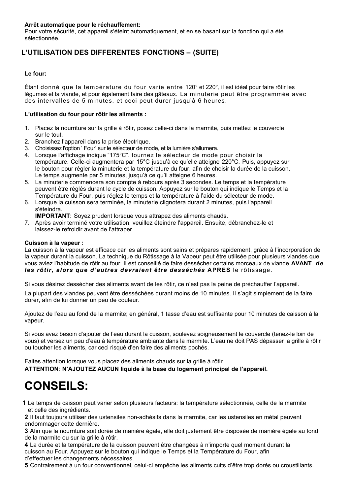Pour votre sécurité, cet appareil s'éteint automatiquement, et en se basant sur la fonction qui a été sélectionnée.

## **L'UTILISATION DES DIFFERENTES FONCTIONS – (SUITE)**

### **Le four:**

Étant donné que la température du four varie entre 120° et 220°, il est idéal pour faire rôtir les légumes et la viande, et pour également faire des gâteaux. La minuterie peut être programmée avec des intervalles de 5 minutes, et ceci peut durer jusqu'à 6 heures.

### **L'utilisation du four pour rôtir les aliments :**

- 1. Placez la nourriture sur la grille à rôtir, posez celle-ci dans la marmite, puis mettez le couvercle sur le tout.
- 2. Branchez l'appareil dans la prise électrique.
- 3. Choisissez l'option ' Four' sur le sélecteur de mode, et la lumière s'allumera.
- 4. Lorsque l'affichage indique "175°C". tournez le sélecteur de mode pour choisir la température. Celle-ci augmentera par 15°C jusqu'à ce qu'elle atteigne 220°C. Puis, appuyez sur le bouton pour régler la minuterie et la température du four, afin de choisir la durée de la cuisson. Le temps augmente par 5 minutes, jusqu'à ce qu'il atteigne 6 heures.
- 5. La minuterie commencera son compte à rebours après 3 secondes. Le temps et la température peuvent être réglés durant le cycle de cuisson. Appuyez sur le bouton qui indique le Temps et la Température du Four, puis réglez le temps et la température à l'aide du sélecteur de mode.
- 6. Lorsque la cuisson sera terminée, la minuterie clignotera durant 2 minutes, puis l'appareil s'éteindra.
	- **IMPORTANT**: Soyez prudent lorsque vous attrapez des aliments chauds.
- 7. Après avoir terminé votre utilisation, veuillez éteindre l'appareil. Ensuite, débranchez-le et laissez-le refroidir avant de l'attraper.

### **Cuisson à la vapeur :**

La cuisson à la vapeur est efficace car les aliments sont sains et prépares rapidement, grâce à l'incorporation de la vapeur durant la cuisson. La technique du Rôtissage à la Vapeur peut être utilisée pour plusieurs viandes que vous aviez l'habitude de rôtir au four. Il est conseillé de faire dessécher certains morceaux de viande **AVANT** *de les rôtir, alors que d'autres devraient être desséchés* **APRES** le rôtissage.

Si vous désirez dessécher des aliments avant de les rôtir, ce n'est pas la peine de préchauffer l'appareil.

La plupart des viandes peuvent être desséchées durant moins de 10 minutes. Il s'agit simplement de la faire dorer, afin de lui donner un peu de couleur.

Ajoutez de l'eau au fond de la marmite; en général, 1 tasse d'eau est suffisante pour 10 minutes de caisson à la vapeur.

Si vous avez besoin d'ajouter de l'eau durant la cuisson, soulevez soigneusement le couvercle (tenez-le loin de vous) et versez un peu d'eau à température ambiante dans la marmite. L'eau ne doit PAS dépasser la grille à rôtir ou toucher les aliments, car ceci risqué d'en faire des aliments pochés.

Faites attention lorsque vous placez des aliments chauds sur la grille à rôtir. **ATTENTION**: **N'AJOUTEZ AUCUN liquide à la base du logement principal de l'appareil.** 

## **CONSEILS:**

**1** Le temps de caisson peut varier selon plusieurs facteurs: la température sélectionnée, celle de la marmite et celle des ingrédients.

**2** Il faut toujours utiliser des ustensiles non-adhésifs dans la marmite, car les ustensiles en métal peuvent endommager cette dernière.

**3** Afin que la nourriture soit dorée de manière égale, elle doit justement être disposée de manière égale au fond de la marmite ou sur la grille à rôtir.

**4** La durée et la température de la cuisson peuvent être changées à n'importe quel moment durant la cuisson au Four. Appuyez sur le bouton qui indique le Temps et la Température du Four, afin d'effectuer les changements nécessaires.

**5** Contrairement à un four conventionnel, celui-ci empêche les aliments cuits d'être trop dorés ou croustillants.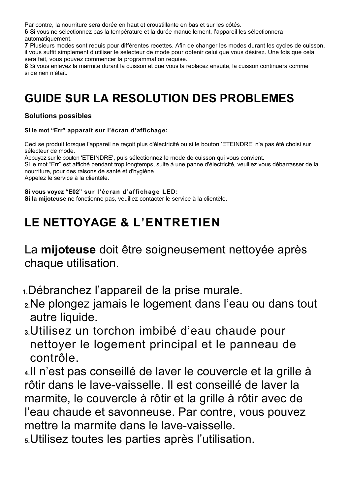Par contre, la nourriture sera dorée en haut et croustillante en bas et sur les côtés.

**6** Si vous ne sélectionnez pas la température et la durée manuellement, l'appareil les sélectionnera automatiquement.

**7** Plusieurs modes sont requis pour différentes recettes. Afin de changer les modes durant les cycles de cuisson, il vous suffit simplement d'utiliser le sélecteur de mode pour obtenir celui que vous désirez. Une fois que cela sera fait, vous pouvez commencer la programmation requise.

**8** Si vous enlevez la marmite durant la cuisson et que vous la replacez ensuite, la cuisson continuera comme si de rien n'était.

## **GUIDE SUR LA RESOLUTION DES PROBLEMES**

## **Solutions possibles**

## **Si le mot "Err" apparaît sur l'écran d'affichage:**

Ceci se produit lorsque l'appareil ne reçoit plus d'électricité ou si le bouton 'ETEINDRE' n'a pas été choisi sur sélecteur de mode.

Appuyez sur le bouton 'ETEINDRE', puis sélectionnez le mode de cuisson qui vous convient.

Si le mot "Err" est affiché pendant trop longtemps, suite à une panne d'électricité, veuillez vous débarrasser de la nourriture, pour des raisons de santé et d'hygiène

Appelez le service à la clientèle.

**Si vous voyez "E02" sur l'écran d'affichage LED: Si la mijoteuse** ne fonctionne pas, veuillez contacter le service à la clientèle.

## **LE NETTOYAGE & L'ENTRETIEN**

La **mijoteuse** doit être soigneusement nettoyée après chaque utilisation.

**1.**Débranchez l'appareil de la prise murale.

- **2.**Ne plongez jamais le logement dans l'eau ou dans tout autre liquide.
- **3.**Utilisez un torchon imbibé d'eau chaude pour nettoyer le logement principal et le panneau de contrôle.

**4.**Il n'est pas conseillé de laver le couvercle et la grille à rôtir dans le lave-vaisselle. Il est conseillé de laver la marmite, le couvercle à rôtir et la grille à rôtir avec de l'eau chaude et savonneuse. Par contre, vous pouvez mettre la marmite dans le lave-vaisselle.

**5.**Utilisez toutes les parties après l'utilisation.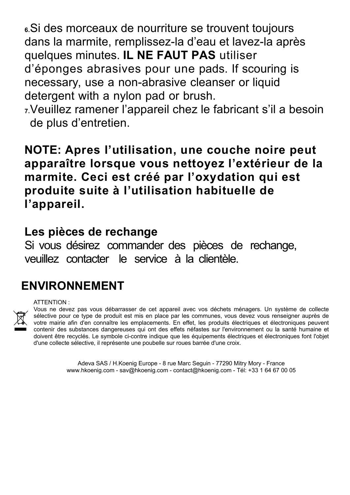**6.**Si des morceaux de nourriture se trouvent toujours dans la marmite, remplissez-la d'eau et lavez-la après quelques minutes. **IL NE FAUT PAS** utiliser d'éponges abrasives pour une pads. If scouring is necessary, use a non-abrasive cleanser or liquid detergent with a nylon pad or brush.

**7.**Veuillez ramener l'appareil chez le fabricant s'il a besoin de plus d'entretien.

**NOTE: Apres l'utilisation, une couche noire peut apparaître lorsque vous nettoyez l'extérieur de la marmite. Ceci est créé par l'oxydation qui est produite suite à l'utilisation habituelle de l'appareil.** 

## **Les pièces de rechange**

Si vous désirez commander des pièces de rechange, veuillez contacter le service à la clientèle.

## **ENVIRONNEMENT**

## ATTENTION :



Vous ne devez pas vous débarrasser de cet appareil avec vos déchets ménagers. Un système de collecte sélective pour ce type de produit est mis en place par les communes, vous devez vous renseigner auprès de votre mairie afin d'en connaître les emplacements. En effet, les produits électriques et électroniques peuvent contenir des substances dangereuses qui ont des effets néfastes sur l'environnement ou la santé humaine et doivent être recyclés. Le symbole ci-contre indique que les équipements électriques et électroniques font l'objet d'une collecte sélective, il représente une poubelle sur roues barrée d'une croix.

> Adeva SAS / H.Koenig Europe - 8 rue Marc Seguin - 77290 Mitry Mory - France www.hkoenig.com - sav@hkoenig.com - contact@hkoenig.com - Tél: +33 1 64 67 00 05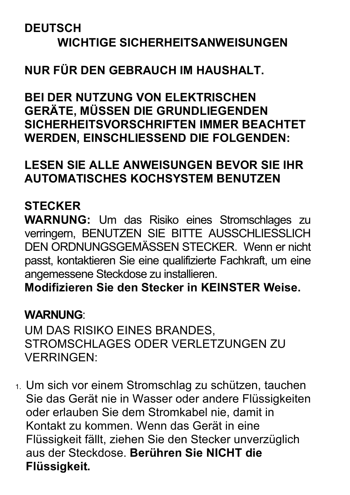## **DEUTSCH WICHTIGE SICHERHEITSANWEISUNGEN**

## **NUR FÜR DEN GEBRAUCH IM HAUSHALT.**

**BEI DER NUTZUNG VON ELEKTRISCHEN GERÄTE, MÜSSEN DIE GRUNDLIEGENDEN SICHERHEITSVORSCHRIFTEN IMMER BEACHTET WERDEN, EINSCHLIESSEND DIE FOLGENDEN:**

## **LESEN SIE ALLE ANWEISUNGEN BEVOR SIE IHR AUTOMATISCHES KOCHSYSTEM BENUTZEN**

## **STECKER**

**WARNUNG:** Um das Risiko eines Stromschlages zu verringern, BENUTZEN SIE BITTE AUSSCHLIESSLICH DEN ORDNUNGSGEMÄSSEN STECKER. Wenn er nicht passt, kontaktieren Sie eine qualifizierte Fachkraft, um eine angemessene Steckdose zu installieren.

**Modifizieren Sie den Stecker in KEINSTER Weise.**

## **WARNUNG**:

UM DAS RISIKO EINES BRANDES, STROMSCHLAGES ODER VERLETZUNGEN ZU VERRINGEN:

1. Um sich vor einem Stromschlag zu schützen, tauchen Sie das Gerät nie in Wasser oder andere Flüssigkeiten oder erlauben Sie dem Stromkabel nie, damit in Kontakt zu kommen. Wenn das Gerät in eine Flüssigkeit fällt, ziehen Sie den Stecker unverzüglich aus der Steckdose. **Berühren Sie NICHT die Flüssigkeit.**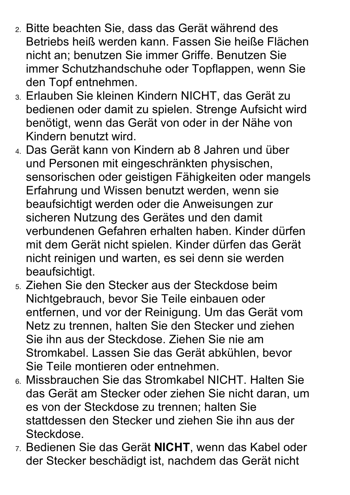- 2. Bitte beachten Sie, dass das Gerät während des Betriebs heiß werden kann. Fassen Sie heiße Flächen nicht an; benutzen Sie immer Griffe. Benutzen Sie immer Schutzhandschuhe oder Topflappen, wenn Sie den Topf entnehmen.
- 3. Erlauben Sie kleinen Kindern NICHT, das Gerät zu bedienen oder damit zu spielen. Strenge Aufsicht wird benötigt, wenn das Gerät von oder in der Nähe von Kindern benutzt wird.
- 4. Das Gerät kann von Kindern ab 8 Jahren und über und Personen mit eingeschränkten physischen, sensorischen oder geistigen Fähigkeiten oder mangels Erfahrung und Wissen benutzt werden, wenn sie beaufsichtigt werden oder die Anweisungen zur sicheren Nutzung des Gerätes und den damit verbundenen Gefahren erhalten haben. Kinder dürfen mit dem Gerät nicht spielen. Kinder dürfen das Gerät nicht reinigen und warten, es sei denn sie werden beaufsichtigt.
- 5. Ziehen Sie den Stecker aus der Steckdose beim Nichtgebrauch, bevor Sie Teile einbauen oder entfernen, und vor der Reinigung. Um das Gerät vom Netz zu trennen, halten Sie den Stecker und ziehen Sie ihn aus der Steckdose. Ziehen Sie nie am Stromkabel. Lassen Sie das Gerät abkühlen, bevor Sie Teile montieren oder entnehmen.
- 6. Missbrauchen Sie das Stromkabel NICHT. Halten Sie das Gerät am Stecker oder ziehen Sie nicht daran, um es von der Steckdose zu trennen; halten Sie stattdessen den Stecker und ziehen Sie ihn aus der Steckdose.
- 7. Bedienen Sie das Gerät **NICHT**, wenn das Kabel oder der Stecker beschädigt ist, nachdem das Gerät nicht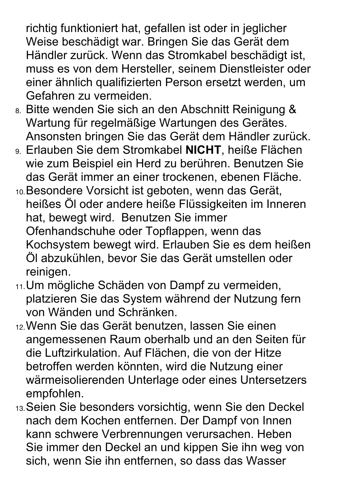richtig funktioniert hat, gefallen ist oder in jeglicher Weise beschädigt war. Bringen Sie das Gerät dem Händler zurück. Wenn das Stromkabel beschädigt ist, muss es von dem Hersteller, seinem Dienstleister oder einer ähnlich qualifizierten Person ersetzt werden, um Gefahren zu vermeiden.

- 8. Bitte wenden Sie sich an den Abschnitt Reinigung & Wartung für regelmäßige Wartungen des Gerätes. Ansonsten bringen Sie das Gerät dem Händler zurück.
- 9. Erlauben Sie dem Stromkabel **NICHT**, heiße Flächen wie zum Beispiel ein Herd zu berühren. Benutzen Sie das Gerät immer an einer trockenen, ebenen Fläche.
- 10.Besondere Vorsicht ist geboten, wenn das Gerät, heißes Öl oder andere heiße Flüssigkeiten im Inneren hat, bewegt wird. Benutzen Sie immer Ofenhandschuhe oder Topflappen, wenn das Kochsystem bewegt wird. Erlauben Sie es dem heißen Öl abzukühlen, bevor Sie das Gerät umstellen oder reinigen.
- 11.Um mögliche Schäden von Dampf zu vermeiden, platzieren Sie das System während der Nutzung fern von Wänden und Schränken.
- 12.Wenn Sie das Gerät benutzen, lassen Sie einen angemessenen Raum oberhalb und an den Seiten für die Luftzirkulation. Auf Flächen, die von der Hitze betroffen werden könnten, wird die Nutzung einer wärmeisolierenden Unterlage oder eines Untersetzers empfohlen.
- 13.Seien Sie besonders vorsichtig, wenn Sie den Deckel nach dem Kochen entfernen. Der Dampf von Innen kann schwere Verbrennungen verursachen. Heben Sie immer den Deckel an und kippen Sie ihn weg von sich, wenn Sie ihn entfernen, so dass das Wasser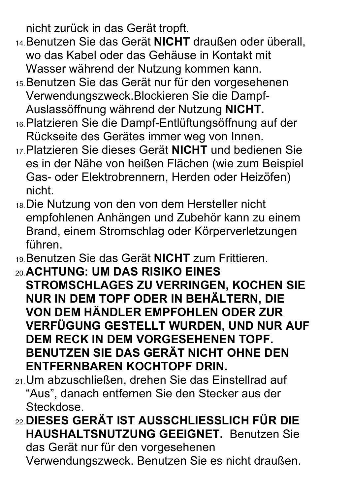nicht zurück in das Gerät tropft.

- 14.Benutzen Sie das Gerät **NICHT** draußen oder überall, wo das Kabel oder das Gehäuse in Kontakt mit Wasser während der Nutzung kommen kann.
- 15.Benutzen Sie das Gerät nur für den vorgesehenen Verwendungszweck.Blockieren Sie die Dampf-Auslassöffnung während der Nutzung **NICHT.**
- 16.Platzieren Sie die Dampf-Entlüftungsöffnung auf der Rückseite des Gerätes immer weg von Innen.
- 17.Platzieren Sie dieses Gerät **NICHT** und bedienen Sie es in der Nähe von heißen Flächen (wie zum Beispiel Gas- oder Elektrobrennern, Herden oder Heizöfen) nicht.
- 18.Die Nutzung von den von dem Hersteller nicht empfohlenen Anhängen und Zubehör kann zu einem Brand, einem Stromschlag oder Körperverletzungen führen.
- 19.Benutzen Sie das Gerät **NICHT** zum Frittieren.
- 20.**ACHTUNG: UM DAS RISIKO EINES STROMSCHLAGES ZU VERRINGEN, KOCHEN SIE NUR IN DEM TOPF ODER IN BEHÄLTERN, DIE VON DEM HÄNDLER EMPFOHLEN ODER ZUR VERFÜGUNG GESTELLT WURDEN, UND NUR AUF DEM RECK IN DEM VORGESEHENEN TOPF. BENUTZEN SIE DAS GERÄT NICHT OHNE DEN ENTFERNBAREN KOCHTOPF DRIN.**
- 21.Um abzuschließen, drehen Sie das Einstellrad auf "Aus", danach entfernen Sie den Stecker aus der Steckdose.
- 22.**DIESES GERÄT IST AUSSCHLIESSLICH FÜR DIE HAUSHALTSNUTZUNG GEEIGNET.** Benutzen Sie das Gerät nur für den vorgesehenen Verwendungszweck. Benutzen Sie es nicht draußen.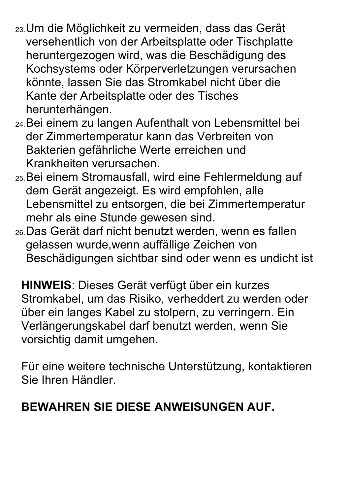- 23.Um die Möglichkeit zu vermeiden, dass das Gerät versehentlich von der Arbeitsplatte oder Tischplatte heruntergezogen wird, was die Beschädigung des Kochsystems oder Körperverletzungen verursachen könnte, lassen Sie das Stromkabel nicht über die Kante der Arbeitsplatte oder des Tisches herunterhängen.
- 24.Bei einem zu langen Aufenthalt von Lebensmittel bei der Zimmertemperatur kann das Verbreiten von Bakterien gefährliche Werte erreichen und Krankheiten verursachen.
- 25.Bei einem Stromausfall, wird eine Fehlermeldung auf dem Gerät angezeigt. Es wird empfohlen, alle Lebensmittel zu entsorgen, die bei Zimmertemperatur mehr als eine Stunde gewesen sind.
- 26.Das Gerät darf nicht benutzt werden, wenn es fallen gelassen wurde,wenn auffällige Zeichen von Beschädigungen sichtbar sind oder wenn es undicht ist

**HINWEIS**: Dieses Gerät verfügt über ein kurzes Stromkabel, um das Risiko, verheddert zu werden oder über ein langes Kabel zu stolpern, zu verringern. Ein Verlängerungskabel darf benutzt werden, wenn Sie vorsichtig damit umgehen.

Für eine weitere technische Unterstützung, kontaktieren Sie Ihren Händler.

## **BEWAHREN SIE DIESE ANWEISUNGEN AUF.**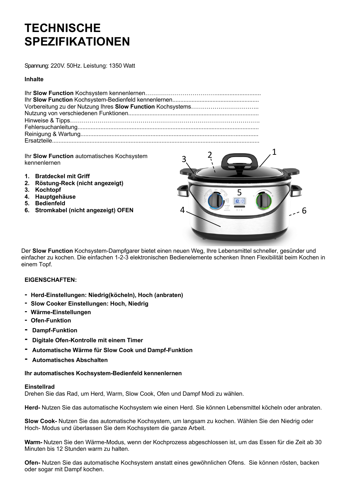## **TECHNISCHE SPEZIFIKATIONEN**

Spannung: 220V. 50Hz. Leistung: 1350 Watt

### **Inhalte**

Ihr **Slow Function** automatisches Kochsystem kennenlernen

- **1. Bratdeckel mit Griff**
- **2. Röstung-Reck (nicht angezeigt)**
- **3. Kochtopf**
- **4. Hauptgehäuse**
- **5. Bedienfeld**
- **6. Stromkabel (nicht angezeigt) OFEN**



Der **Slow Function** Kochsystem-Dampfgarer bietet einen neuen Weg, Ihre Lebensmittel schneller, gesünder und einfacher zu kochen. Die einfachen 1-2-3 elektronischen Bedienelemente schenken Ihnen Flexibilität beim Kochen in einem Topf.

### **EIGENSCHAFTEN:**

- **- Herd-Einstellungen: Niedrig(köcheln), Hoch (anbraten)**
- **- Slow Cooker Einstellungen: Hoch, Niedrig**
- **- Wärme-Einstellungen**
- **- Ofen-Funktion**
- **- Dampf-Funktion**
- **- Digitale Ofen-Kontrolle mit einem Timer**
- **- Automatische Wärme für Slow Cook und Dampf-Funktion**
- **- Automatisches Abschalten**

#### **Ihr automatisches Kochsystem-Bedienfeld kennenlernen**

#### **Einstellrad**

Drehen Sie das Rad, um Herd, Warm, Slow Cook, Ofen und Dampf Modi zu wählen.

**Herd-** Nutzen Sie das automatische Kochsystem wie einen Herd. Sie können Lebensmittel köcheln oder anbraten.

**Slow Cook-** Nutzen Sie das automatische Kochsystem, um langsam zu kochen. Wählen Sie den Niedrig oder Hoch- Modus und überlassen Sie dem Kochsystem die ganze Arbeit.

**Warm-** Nutzen Sie den Wärme-Modus, wenn der Kochprozess abgeschlossen ist, um das Essen für die Zeit ab 30 Minuten bis 12 Stunden warm zu halten.

**Ofen-** Nutzen Sie das automatische Kochsystem anstatt eines gewöhnlichen Ofens. Sie können rösten, backen oder sogar mit Dampf kochen.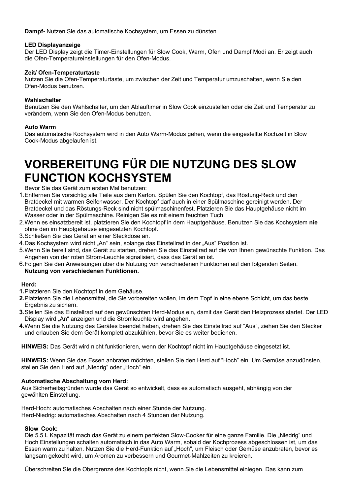**Dampf-** Nutzen Sie das automatische Kochsystem, um Essen zu dünsten.

### **LED Displayanzeige**

Der LED Display zeigt die Timer-Einstellungen für Slow Cook, Warm, Ofen und Dampf Modi an. Er zeigt auch die Ofen-Temperatureinstellungen für den Ofen-Modus.

### **Zeit/ Ofen-Temperaturtaste**

Nutzen Sie die Ofen-Temperaturtaste, um zwischen der Zeit und Temperatur umzuschalten, wenn Sie den Ofen-Modus benutzen.

### **Wahlschalter**

Benutzen Sie den Wahlschalter, um den Ablauftimer in Slow Cook einzustellen oder die Zeit und Temperatur zu verändern, wenn Sie den Ofen-Modus benutzen.

### **Auto Warm**

Das automatische Kochsystem wird in den Auto Warm-Modus gehen, wenn die eingestellte Kochzeit in Slow Cook-Modus abgelaufen ist.

## **VORBEREITUNG FÜR DIE NUTZUNG DES SLOW FUNCTION KOCHSYSTEM**

Bevor Sie das Gerät zum ersten Mal benutzen:

- 1.Entfernen Sie vorsichtig alle Teile aus dem Karton. Spülen Sie den Kochtopf, das Röstung-Reck und den Bratdeckel mit warmen Seifenwasser. Der Kochtopf darf auch in einer Spülmaschine gereinigt werden. Der Bratdeckel und das Röstungs-Reck sind nicht spülmaschinenfest. Platzieren Sie das Hauptgehäuse nicht im Wasser oder in der Spülmaschine. Reinigen Sie es mit einem feuchten Tuch.
- 2.Wenn es einsatzbereit ist, platzieren Sie den Kochtopf in dem Hauptgehäuse. Benutzen Sie das Kochsystem **nie** ohne den im Hauptgehäuse eingesetzten Kochtopf.
- 3.Schließen Sie das Gerät an einer Steckdose an.
- 4.Das Kochsystem wird nicht "An" sein, solange das Einstellrad in der "Aus" Position ist.
- 5.Wenn Sie bereit sind, das Gerät zu starten, drehen Sie das Einstellrad auf die von Ihnen gewünschte Funktion. Das Angehen von der roten Strom-Leuchte signalisiert, dass das Gerät an ist.
- 6.Folgen Sie den Anweisungen über die Nutzung von verschiedenen Funktionen auf den folgenden Seiten. **Nutzung von verschiedenen Funktionen.**

#### **Herd:**

- **1.**Platzieren Sie den Kochtopf in dem Gehäuse.
- **2.**Platzieren Sie die Lebensmittel, die Sie vorbereiten wollen, im dem Topf in eine ebene Schicht, um das beste Ergebnis zu sichern.
- **3.**Stellen Sie das Einstellrad auf den gewünschten Herd-Modus ein, damit das Gerät den Heizprozess startet. Der LED Display wird "An" anzeigen und die Stromleuchte wird angehen.
- **4.**Wenn Sie die Nutzung des Gerätes beendet haben, drehen Sie das Einstellrad auf "Aus", ziehen Sie den Stecker und erlauben Sie dem Gerät komplett abzukühlen, bevor Sie es weiter bedienen.

**HINWEIS:** Das Gerät wird nicht funktionieren, wenn der Kochtopf nicht im Hauptgehäuse eingesetzt ist.

**HINWEIS:** Wenn Sie das Essen anbraten möchten, stellen Sie den Herd auf "Hoch" ein. Um Gemüse anzudünsten, stellen Sie den Herd auf "Niedrig" oder "Hoch" ein.

### **Automatische Abschaltung vom Herd:**

Aus Sicherheitsgründen wurde das Gerät so entwickelt, dass es automatisch ausgeht, abhängig von der gewählten Einstellung.

Herd-Hoch: automatisches Abschalten nach einer Stunde der Nutzung. Herd-Niedrig: automatisches Abschalten nach 4 Stunden der Nutzung.

### **Slow Cook:**

Die 5.5 L Kapazität mach das Gerät zu einem perfekten Slow-Cooker für eine ganze Familie. Die "Niedrig" und Hoch Einstellungen schalten automatisch in das Auto Warm, sobald der Kochprozess abgeschlossen ist, um das Essen warm zu halten. Nutzen Sie die Herd-Funktion auf "Hoch", um Fleisch oder Gemüse anzubraten, bevor es langsam gekocht wird, um Aromen zu verbessern und Gourmet-Mahlzeiten zu kreieren.

Überschreiten Sie die Obergrenze des Kochtopfs nicht, wenn Sie die Lebensmittel einlegen. Das kann zum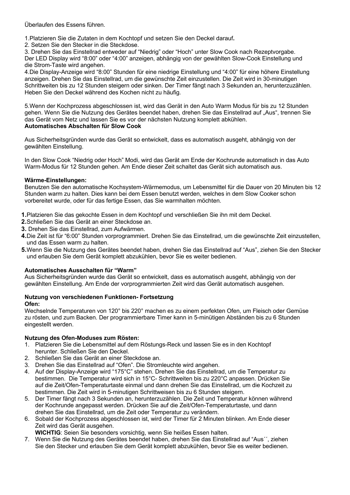Überlaufen des Essens führen.

1.Platzieren Sie die Zutaten in dem Kochtopf und setzen Sie den Deckel darauf**.**

2. Setzen Sie den Stecker in die Steckdose.

3. Drehen Sie das Einstellrad entweder auf "Niedrig" oder "Hoch" unter Slow Cook nach Rezeptvorgabe. Der LED Display wird "8:00" oder "4:00" anzeigen, abhängig von der gewählten Slow-Cook Einstellung und die Strom-Taste wird angehen.

4.Die Display-Anzeige wird "8:00" Stunden für eine niedrige Einstellung und "4:00" für eine höhere Einstellung anzeigen. Drehen Sie das Einstellrad, um die gewünschte Zeit einzustellen. Die Zeit wird in 30-minutigen Schrittweiten bis zu 12 Stunden steigern oder sinken. Der Timer fängt nach 3 Sekunden an, herunterzuzählen. Heben Sie den Deckel während des Kochen nicht zu häufig.

5.Wenn der Kochprozess abgeschlossen ist, wird das Gerät in den Auto Warm Modus für bis zu 12 Stunden gehen. Wenn Sie die Nutzung des Gerätes beendet haben, drehen Sie das Einstellrad auf "Aus", trennen Sie das Gerät vom Netz und lassen Sie es vor der nächsten Nutzung komplett abkühlen. **Automatisches Abschalten für Slow Cook**

Aus Sicherheitsgründen wurde das Gerät so entwickelt, dass es automatisch ausgeht, abhängig von der gewählten Einstellung.

In den Slow Cook "Niedrig oder Hoch" Modi, wird das Gerät am Ende der Kochrunde automatisch in das Auto Warm-Modus für 12 Stunden gehen. Am Ende dieser Zeit schaltet das Gerät sich automatisch aus.

### **Wärme-Einstellungen:**

Benutzen Sie den automatische Kochsystem-Wärmemodus, um Lebensmittel für die Dauer von 20 Minuten bis 12 Stunden warm zu halten. Dies kann bei dem Essen benutzt werden, welches in dem Slow Cooker schon vorbereitet wurde, oder für das fertige Essen, das Sie warmhalten möchten.

**1.**Platzieren Sie das gekochte Essen in dem Kochtopf und verschließen Sie ihn mit dem Deckel.

- **2.**Schließen Sie das Gerät an einer Steckdose an.
- **3.** Drehen Sie das Einstellrad, zum Aufwärmen.
- **4.**Die Zeit ist für "6:00" Stunden vorprogrammiert. Drehen Sie das Einstellrad, um die gewünschte Zeit einzustellen, und das Essen warm zu halten.
- **5.**Wenn Sie die Nutzung des Gerätes beendet haben, drehen Sie das Einstellrad auf "Aus", ziehen Sie den Stecker und erlauben Sie dem Gerät komplett abzukühlen, bevor Sie es weiter bedienen.

### **Automatisches Ausschalten für "Warm"**

Aus Sicherheitsgründen wurde das Gerät so entwickelt, dass es automatisch ausgeht, abhängig von der gewählten Einstellung. Am Ende der vorprogrammierten Zeit wird das Gerät automatisch ausgehen.

## **Nutzung von verschiedenen Funktionen- Fortsetzung**

### **Ofen:**

Wechselnde Temperaturen von 120° bis 220° machen es zu einem perfekten Ofen, um Fleisch oder Gemüse zu rösten, und zum Backen. Der programmierbare Timer kann in 5-minütigen Abständen bis zu 6 Stunden eingestellt werden.

### **Nutzung des Ofen-Moduses zum Rösten:**

- 1. Platzieren Sie die Lebensmittel auf dem Röstungs-Reck und lassen Sie es in den Kochtopf herunter. Schließen Sie den Deckel.
- 2. Schließen Sie das Gerät an einer Steckdose an.
- 3. Drehen Sie das Einstellrad auf "Ofen". Die Stromleuchte wird angehen.
- 4. Auf der Display-Anzeige wird "175°C" stehen. Drehen Sie das Einstellrad, um die Temperatur zu bestimmen. Die Temperatur wird sich in 15°C- Schrittweiten bis zu 220°C anpassen. Drücken Sie auf die Zeit/Ofen-Temperaturtaste einmal und dann drehen Sie das Einstellrad, um die Kochzeit zu bestimmen. Die Zeit wird in 5-minutigen Schrittweisen bis zu 6 Stunden steigern.
- 5. Der Timer fängt nach 3 Sekunden an, herunterzuzählen. Die Zeit und Temperatur können während der Kochrunde angepasst werden. Drücken Sie auf die Zeit/Ofen-Temperaturtaste, und dann drehen Sie das Einstellrad, um die Zeit oder Temperatur zu verändern.
- 6. Sobald der Kochprozess abgeschlossen ist, wird der Timer für 2 Minuten blinken. Am Ende dieser Zeit wird das Gerät ausgehen.
	- **WICHTIG**: Seien Sie besonders vorsichtig, wenn Sie heißes Essen halten.
- 7. Wenn Sie die Nutzung des Gerätes beendet haben, drehen Sie das Einstellrad auf "Aus´´, ziehen Sie den Stecker und erlauben Sie dem Gerät komplett abzukühlen, bevor Sie es weiter bedienen.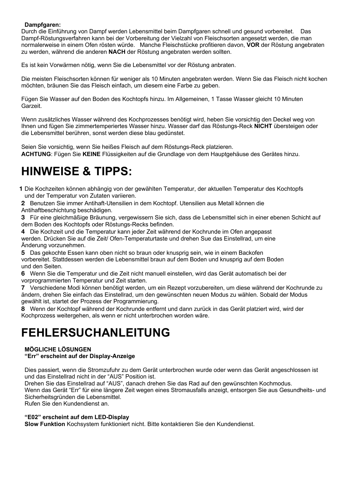### **Dampfgaren:**

Durch die Einführung von Dampf werden Lebensmittel beim Dampfgaren schnell und gesund vorbereitet. Das Dampf-Röstungsverfahren kann bei der Vorbereitung der Vielzahl von Fleischsorten angesetzt werden, die man normalerweise in einem Ofen rösten würde. Manche Fleischstücke profitieren davon, **VOR** der Röstung angebraten zu werden, während die anderen **NACH** der Röstung angebraten werden sollten.

Es ist kein Vorwärmen nötig, wenn Sie die Lebensmittel vor der Röstung anbraten.

Die meisten Fleischsorten können für weniger als 10 Minuten angebraten werden. Wenn Sie das Fleisch nicht kochen möchten, bräunen Sie das Fleisch einfach, um diesem eine Farbe zu geben.

Fügen Sie Wasser auf den Boden des Kochtopfs hinzu. Im Allgemeinen, 1 Tasse Wasser gleicht 10 Minuten Garzeit.

Wenn zusätzliches Wasser während des Kochprozesses benötigt wird, heben Sie vorsichtig den Deckel weg von Ihnen und fügen Sie zimmertemperiertes Wasser hinzu. Wasser darf das Röstungs-Reck **NICHT** übersteigen oder die Lebensmittel berühren, sonst werden diese blau gedünstet.

Seien Sie vorsichtig, wenn Sie heißes Fleisch auf dem Röstungs-Reck platzieren. **ACHTUNG**: Fügen Sie **KEINE** Flüssigkeiten auf die Grundlage von dem Hauptgehäuse des Gerätes hinzu.

## **HINWEISE & TIPPS:**

**1** Die Kochzeiten können abhängig von der gewählten Temperatur, der aktuellen Temperatur des Kochtopfs und der Temperatur von Zutaten variieren.

**2** Benutzen Sie immer Antihaft-Utensilien in dem Kochtopf. Utensilien aus Metall können die Antihaftbeschichtung beschädigen.

**3** Für eine gleichmäßige Bräunung, vergewissern Sie sich, dass die Lebensmittel sich in einer ebenen Schicht auf dem Boden des Kochtopfs oder Röstungs-Recks befinden.

**4** Die Kochzeit und die Temperatur kann jeder Zeit während der Kochrunde im Ofen angepasst werden. Drücken Sie auf die Zeit/ Ofen-Temperaturtaste und drehen Sue das Einstellrad, um eine Änderung vorzunehmen.

**5** Das gekochte Essen kann oben nicht so braun oder knusprig sein, wie in einem Backofen vorbereitet. Stattdessen werden die Lebensmittel braun auf dem Boden und knusprig auf dem Boden und den Seiten.

**6** Wenn Sie die Temperatur und die Zeit nicht manuell einstellen, wird das Gerät automatisch bei der vorprogrammierten Temperatur und Zeit starten.

**7** Verschiedene Modi können benötigt werden, um ein Rezept vorzubereiten, um diese während der Kochrunde zu ändern, drehen Sie einfach das Einstellrad, um den gewünschten neuen Modus zu wählen. Sobald der Modus gewählt ist, startet der Prozess der Programmierung.

**8** Wenn der Kochtopf während der Kochrunde entfernt und dann zurück in das Gerät platziert wird, wird der Kochprozess weitergehen, als wenn er nicht unterbrochen worden wäre.

## **FEHLERSUCHANLEITUNG**

### **MÖGLICHE LÖSUNGEN "Err" erscheint auf der Display-Anzeige**

Dies passiert, wenn die Stromzufuhr zu dem Gerät unterbrochen wurde oder wenn das Gerät angeschlossen ist und das Einstellrad nicht in der "AUS" Position ist.

Drehen Sie das Einstellrad auf "AUS", danach drehen Sie das Rad auf den gewünschten Kochmodus.

Wenn das Gerät "Err" für eine längere Zeit wegen eines Stromausfalls anzeigt, entsorgen Sie aus Gesundheits- und Sicherheitsgründen die Lebensmittel.

Rufen Sie den Kundendienst an.

### **"E02" erscheint auf dem LED-Display**

**Slow Funktion** Kochsystem funktioniert nicht. Bitte kontaktieren Sie den Kundendienst.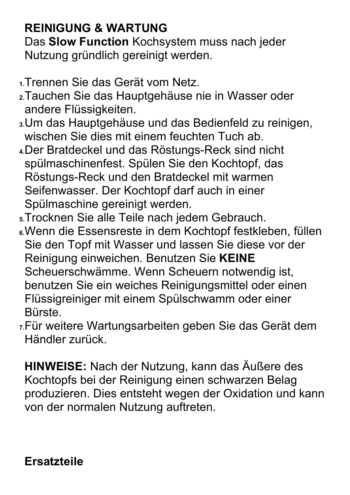## **REINIGUNG & WARTUNG**

Das **Slow Function** Kochsystem muss nach jeder Nutzung gründlich gereinigt werden.

- **1.**Trennen Sie das Gerät vom Netz.
- **2.**Tauchen Sie das Hauptgehäuse nie in Wasser oder andere Flüssigkeiten.
- **3.**Um das Hauptgehäuse und das Bedienfeld zu reinigen, wischen Sie dies mit einem feuchten Tuch ab.
- **4.**Der Bratdeckel und das Röstungs-Reck sind nicht spülmaschinenfest. Spülen Sie den Kochtopf, das Röstungs-Reck und den Bratdeckel mit warmen Seifenwasser. Der Kochtopf darf auch in einer Spülmaschine gereinigt werden.
- **5.**Trocknen Sie alle Teile nach jedem Gebrauch.
- **6.**Wenn die Essensreste in dem Kochtopf festkleben, füllen Sie den Topf mit Wasser und lassen Sie diese vor der Reinigung einweichen. Benutzen Sie **KEINE** Scheuerschwämme. Wenn Scheuern notwendig ist, benutzen Sie ein weiches Reinigungsmittel oder einen Flüssigreiniger mit einem Spülschwamm oder einer Bürste.
- **7.**Für weitere Wartungsarbeiten geben Sie das Gerät dem Händler zurück.

**HINWEISE:** Nach der Nutzung, kann das Äußere des Kochtopfs bei der Reinigung einen schwarzen Belag produzieren. Dies entsteht wegen der Oxidation und kann von der normalen Nutzung auftreten.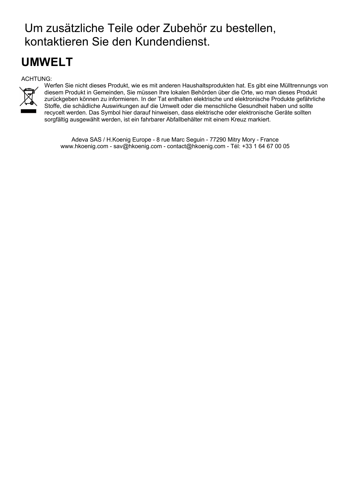## Um zusätzliche Teile oder Zubehör zu bestellen, kontaktieren Sie den Kundendienst.

## **UMWELT**

## ACHTUNG:



Werfen Sie nicht dieses Produkt, wie es mit anderen Haushaltsprodukten hat. Es gibt eine Mülltrennungs von diesem Produkt in Gemeinden, Sie müssen Ihre lokalen Behörden über die Orte, wo man dieses Produkt zurückgeben können zu informieren. In der Tat enthalten elektrische und elektronische Produkte gefährliche Stoffe, die schädliche Auswirkungen auf die Umwelt oder die menschliche Gesundheit haben und sollte recycelt werden. Das Symbol hier darauf hinweisen, dass elektrische oder elektronische Geräte sollten sorgfältig ausgewählt werden, ist ein fahrbarer Abfallbehälter mit einem Kreuz markiert.

Adeva SAS / H.Koenig Europe - 8 rue Marc Seguin - 77290 Mitry Mory - France www.hkoenig.com - sav@hkoenig.com - contact@hkoenig.com - Tél: +33 1 64 67 00 05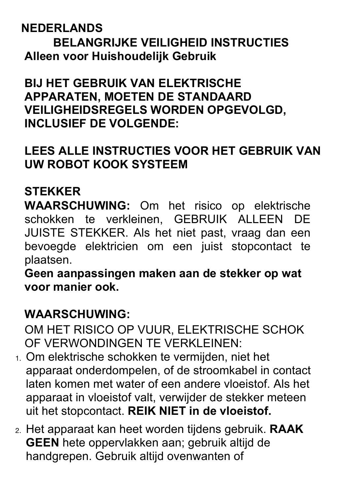## **NEDERLANDS**

**BELANGRIJKE VEILIGHEID INSTRUCTIES Alleen voor Huishoudelijk Gebruik**

**BIJ HET GEBRUIK VAN ELEKTRISCHE APPARATEN, MOETEN DE STANDAARD VEILIGHEIDSREGELS WORDEN OPGEVOLGD, INCLUSIEF DE VOLGENDE:**

## **LEES ALLE INSTRUCTIES VOOR HET GEBRUIK VAN UW ROBOT KOOK SYSTEEM**

## **STEKKER**

**WAARSCHUWING:** Om het risico op elektrische schokken te verkleinen, GEBRUIK ALLEEN DE JUISTE STEKKER. Als het niet past, vraag dan een bevoegde elektricien om een juist stopcontact te plaatsen.

**Geen aanpassingen maken aan de stekker op wat voor manier ook.**

## **WAARSCHUWING:**

OM HET RISICO OP VUUR, ELEKTRISCHE SCHOK OF VERWONDINGEN TE VERKLEINEN:

- 1. Om elektrische schokken te vermijden, niet het apparaat onderdompelen, of de stroomkabel in contact laten komen met water of een andere vloeistof. Als het apparaat in vloeistof valt, verwijder de stekker meteen uit het stopcontact. **REIK NIET in de vloeistof.**
- 2. Het apparaat kan heet worden tijdens gebruik. **RAAK GEEN** hete oppervlakken aan; gebruik altijd de handgrepen. Gebruik altijd ovenwanten of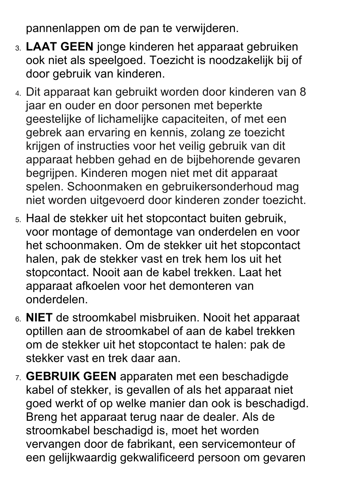pannenlappen om de pan te verwijderen.

- 3. **LAAT GEEN** jonge kinderen het apparaat gebruiken ook niet als speelgoed. Toezicht is noodzakelijk bij of door gebruik van kinderen.
- 4. Dit apparaat kan gebruikt worden door kinderen van 8 jaar en ouder en door personen met beperkte geestelijke of lichamelijke capaciteiten, of met een gebrek aan ervaring en kennis, zolang ze toezicht krijgen of instructies voor het veilig gebruik van dit apparaat hebben gehad en de bijbehorende gevaren begrijpen. Kinderen mogen niet met dit apparaat spelen. Schoonmaken en gebruikersonderhoud mag niet worden uitgevoerd door kinderen zonder toezicht.
- 5. Haal de stekker uit het stopcontact buiten gebruik, voor montage of demontage van onderdelen en voor het schoonmaken. Om de stekker uit het stopcontact halen, pak de stekker vast en trek hem los uit het stopcontact. Nooit aan de kabel trekken. Laat het apparaat afkoelen voor het demonteren van onderdelen.
- 6. **NIET** de stroomkabel misbruiken. Nooit het apparaat optillen aan de stroomkabel of aan de kabel trekken om de stekker uit het stopcontact te halen: pak de stekker vast en trek daar aan.
- 7. **GEBRUIK GEEN** apparaten met een beschadigde kabel of stekker, is gevallen of als het apparaat niet goed werkt of op welke manier dan ook is beschadigd. Breng het apparaat terug naar de dealer. Als de stroomkabel beschadigd is, moet het worden vervangen door de fabrikant, een servicemonteur of een gelijkwaardig gekwalificeerd persoon om gevaren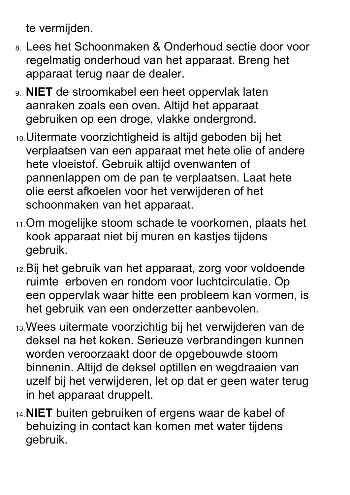te vermijden.

- 8. Lees het Schoonmaken & Onderhoud sectie door voor regelmatig onderhoud van het apparaat. Breng het apparaat terug naar de dealer.
- 9. **NIET** de stroomkabel een heet oppervlak laten aanraken zoals een oven. Altijd het apparaat gebruiken op een droge, vlakke ondergrond.
- 10.Uitermate voorzichtigheid is altijd geboden bij het verplaatsen van een apparaat met hete olie of andere hete vloeistof. Gebruik altijd ovenwanten of pannenlappen om de pan te verplaatsen. Laat hete olie eerst afkoelen voor het verwijderen of het schoonmaken van het apparaat.
- 11.Om mogelijke stoom schade te voorkomen, plaats het kook apparaat niet bij muren en kastjes tijdens gebruik.
- 12.Bij het gebruik van het apparaat, zorg voor voldoende ruimte erboven en rondom voor luchtcirculatie. Op een oppervlak waar hitte een probleem kan vormen, is het gebruik van een onderzetter aanbevolen.
- 13.Wees uitermate voorzichtig bij het verwijderen van de deksel na het koken. Serieuze verbrandingen kunnen worden veroorzaakt door de opgebouwde stoom binnenin. Altijd de deksel optillen en wegdraaien van uzelf bij het verwijderen, let op dat er geen water terug in het apparaat druppelt.
- 14.**NIET** buiten gebruiken of ergens waar de kabel of behuizing in contact kan komen met water tijdens gebruik.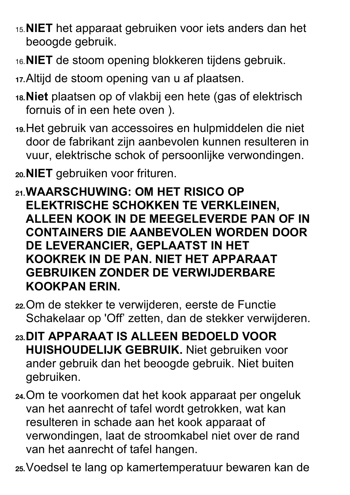- 15.**NIET** het apparaat gebruiken voor iets anders dan het beoogde gebruik.
- 16.**NIET** de stoom opening blokkeren tijdens gebruik.
- **17.**Altijd de stoom opening van u af plaatsen.
- **18.Niet** plaatsen op of vlakbij een hete (gas of elektrisch fornuis of in een hete oven ).
- **19.**Het gebruik van accessoires en hulpmiddelen die niet door de fabrikant zijn aanbevolen kunnen resulteren in vuur, elektrische schok of persoonlijke verwondingen.
- **20.NIET** gebruiken voor frituren.
- **21.WAARSCHUWING: OM HET RISICO OP ELEKTRISCHE SCHOKKEN TE VERKLEINEN, ALLEEN KOOK IN DE MEEGELEVERDE PAN OF IN CONTAINERS DIE AANBEVOLEN WORDEN DOOR DE LEVERANCIER, GEPLAATST IN HET KOOKREK IN DE PAN. NIET HET APPARAAT GEBRUIKEN ZONDER DE VERWIJDERBARE KOOKPAN ERIN.**
- **22.**Om de stekker te verwijderen, eerste de Functie Schakelaar op 'Off' zetten, dan de stekker verwijderen.
- **23.DIT APPARAAT IS ALLEEN BEDOELD VOOR HUISHOUDELIJK GEBRUIK.** Niet gebruiken voor ander gebruik dan het beoogde gebruik. Niet buiten gebruiken.
- **24.**Om te voorkomen dat het kook apparaat per ongeluk van het aanrecht of tafel wordt getrokken, wat kan resulteren in schade aan het kook apparaat of verwondingen, laat de stroomkabel niet over de rand van het aanrecht of tafel hangen.

**25.**Voedsel te lang op kamertemperatuur bewaren kan de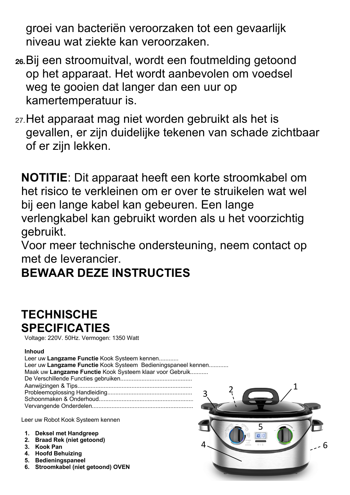groei van bacteriën veroorzaken tot een gevaarlijk niveau wat ziekte kan veroorzaken.

- **26.**Bij een stroomuitval, wordt een foutmelding getoond op het apparaat. Het wordt aanbevolen om voedsel weg te gooien dat langer dan een uur op kamertemperatuur is.
- 27.Het apparaat mag niet worden gebruikt als het is gevallen, er zijn duidelijke tekenen van schade zichtbaar of er zijn lekken.

**NOTITIE**: Dit apparaat heeft een korte stroomkabel om het risico te verkleinen om er over te struikelen wat wel bij een lange kabel kan gebeuren. Een lange verlengkabel kan gebruikt worden als u het voorzichtig gebruikt.

Voor meer technische ondersteuning, neem contact op met de leverancier.

## **BEWAAR DEZE INSTRUCTIES**

## **TECHNISCHE SPECIFICATIES**

Voltage: 220V. 50Hz. Vermogen: 1350 Watt

## **Inhoud**

| Leer uw Langzame Functie Kook Systeem kennen                  |  |
|---------------------------------------------------------------|--|
| Leer uw Langzame Functie Kook Systeem Bedieningspaneel kennen |  |
| Maak uw Langzame Functie Kook Systeem klaar voor Gebruik      |  |
|                                                               |  |
|                                                               |  |
|                                                               |  |
|                                                               |  |
|                                                               |  |

Leer uw Robot Kook Systeem kennen

- **1. Deksel met Handgreep**
- **2. Braad Rek (niet getoond)**
- **3. Kook Pan**
- **4. Hoofd Behuizing**
- **5. Bedieningspaneel**
- **6. Stroomkabel (niet getoond) OVEN**

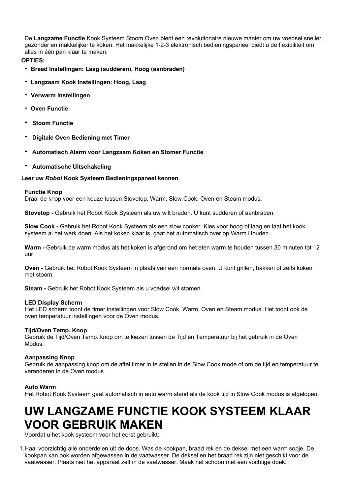De **Langzame Functie** Kook Systeem Stoom Oven biedt een revolutionaire nieuwe manier om uw voedsel sneller, gezonder en makkelijker te koken. Het makkelijke 1-2-3 elektronisch bedieningspaneel biedt u de flexibiliteit om alles in één pan klaar te maken.

### **OPTIES:**

- **- Braad Instellingen: Laag (sudderen), Hoog (aanbraden)**
- **- Langzaam Kook Instellingen: Hoog, Laag**
- **- Verwarm Instellingen**
- **- Oven Functie**
- **- Stoom Functie**
- **- Digitale Oven Bediening met Timer**
- **- Automatisch Alarm voor Langzaam Koken en Stomer Functie**
- **- Automatische Uitschakeling**

## **Leer uw** *Robot* **Kook Systeem Bedieningspaneel kennen**

## **Functie Knop**

Draai de knop voor een keuze tussen Stovetop, Warm, Slow Cook, Oven en Steam modus.

**Stovetop -** Gebruik het Robot Kook Systeem als uw wilt braden. U kunt sudderen of aanbraden.

**Slow Cook -** Gebruik het Robot Kook Systeem als een slow cooker. Kies voor hoog of laag en laat het kook systeem al het werk doen. Als het koken klaar is, gaat het automatisch over op Warm Houden.

**Warm -** Gebruik de warm modus als het koken is afgerond om het eten warm te houden tussen 30 minuten tot 12 uur.

**Oven -** Gebruik het Robot Kook Systeem in plaats van een normale oven. U kunt grillen, bakken of zelfs koken met stoom.

**Steam -** Gebruik het Robot Kook Systeem als u voedsel wit stomen.

## **LED Display Scherm**

Het LED scherm toont de timer instellingen voor Slow Cook, Warm, Oven en Steam modus. Het toont ook de oven temperatuur instellingen voor de Oven modus.

## **Tijd/Oven Temp. Knop**

Gebruik de Tijd/Oven Temp. knop om te kiezen tussen de Tijd en Temperatuur bij het gebruik in de Oven Modus.

## **Aanpassing Knop**

Gebruik de aanpassing knop om de aftel timer in te stellen in de Slow Cook mode of om de tijd en temperatuur te veranderen in de Oven modus

## **Auto Warm**

Het Robot Kook Systeem gaat automatisch in auto warm stand als de kook tijd in Slow Cook modus is afgelopen.

## **UW LANGZAME FUNCTIE KOOK SYSTEEM KLAAR VOOR GEBRUIK MAKEN**

Voordat u het kook systeem voor het eerst gebruikt:

1.Haal voorzichtig alle onderdelen uit de doos. Was de kookpan, braad rek en de deksel met een warm sopje. De kookpan kan ook worden afgewassen in de vaatwasser. De deksel en het braad rek zijn niet geschikt voor de vaatwasser. Plaats niet het apparaat zelf in de vaatwasser. Maak het schoon met een vochtige doek.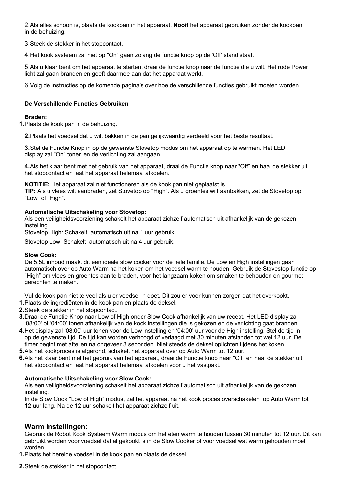2.Als alles schoon is, plaats de kookpan in het apparaat. **Nooit** het apparaat gebruiken zonder de kookpan in de behuizing.

3.Steek de stekker in het stopcontact.

4.Het kook systeem zal niet op "On" gaan zolang de functie knop op de 'Off' stand staat.

5.Als u klaar bent om het apparaat te starten, draai de functie knop naar de functie die u wilt. Het rode Power licht zal gaan branden en geeft daarmee aan dat het apparaat werkt.

6.Volg de instructies op de komende pagina's over hoe de verschillende functies gebruikt moeten worden.

### **De Verschillende Functies Gebruiken**

### **Braden:**

**1.**Plaats de kook pan in de behuizing.

**2.**Plaats het voedsel dat u wilt bakken in de pan gelijkwaardig verdeeld voor het beste resultaat.

**3.**Stel de Functie Knop in op de gewenste Stovetop modus om het apparaat op te warmen. Het LED display zal "On" tonen en de verlichting zal aangaan.

**4.**Als het klaar bent met het gebruik van het apparaat, draai de Functie knop naar "Off" en haal de stekker uit het stopcontact en laat het apparaat helemaal afkoelen.

**NOTITIE:** Het apparaat zal niet functioneren als de kook pan niet geplaatst is.

**TIP:** Als u vlees wilt aanbraden, zet Stovetop op "High". Als u groentes wilt aanbakken, zet de Stovetop op "Low" of "High".

### **Automatische Uitschakeling voor Stovetop:**

Als een veiligheidsvoorziening schakelt het apparaat zichzelf automatisch uit afhankelijk van de gekozen instelling.

Stovetop High: Schakelt automatisch uit na 1 uur gebruik.

Stovetop Low: Schakelt automatisch uit na 4 uur gebruik.

### **Slow Cook:**

De 5.5L inhoud maakt dit een ideale slow cooker voor de hele familie. De Low en High instellingen gaan automatisch over op Auto Warm na het koken om het voedsel warm te houden. Gebruik de Stovestop functie op "High" om vlees en groentes aan te braden, voor het langzaam koken om smaken te behouden en gourmet gerechten te maken.

Vul de kook pan niet te veel als u er voedsel in doet. Dit zou er voor kunnen zorgen dat het overkookt.

- **1.**Plaats de ingrediënten in de kook pan en plaats de deksel.
- **2.**Steek de stekker in het stopcontact.
- **3.**Draai de Functie Knop naar Low of High onder Slow Cook afhankelijk van uw recept. Het LED display zal '08:00' of '04:00' tonen afhankelijk van de kook instellingen die is gekozen en de verlichting gaat branden.
- **4.**Het display zal '08:00' uur tonen voor de Low instelling en '04:00' uur voor de High instelling. Stel de tijd in op de gewenste tijd. De tijd kan worden verhoogd of verlaagd met 30 minuten afstanden tot wel 12 uur. De timer begint met aftellen na ongeveer 3 seconden. Niet steeds de deksel oplichten tijdens het koken.
- **5.**Als het kookproces is afgerond, schakelt het apparaat over op Auto Warm tot 12 uur.
- **6.**Als het klaar bent met het gebruik van het apparaat, draai de Functie knop naar "Off" en haal de stekker uit het stopcontact en laat het apparaat helemaal afkoelen voor u het vastpakt.

### **Automatische Uitschakeling voor Slow Cook:**

Als een veiligheidsvoorziening schakelt het apparaat zichzelf automatisch uit afhankelijk van de gekozen instelling.

In de Slow Cook "Low of High" modus, zal het apparaat na het kook proces overschakelen op Auto Warm tot 12 uur lang. Na de 12 uur schakelt het apparaat zichzelf uit.

## **Warm instellingen:**

Gebruik de Robot Kook Systeem Warm modus om het eten warm te houden tussen 30 minuten tot 12 uur. Dit kan gebruikt worden voor voedsel dat al gekookt is in de Slow Cooker of voor voedsel wat warm gehouden moet worden.

**1.**Plaats het bereide voedsel in de kook pan en plaats de deksel.

**2.**Steek de stekker in het stopcontact.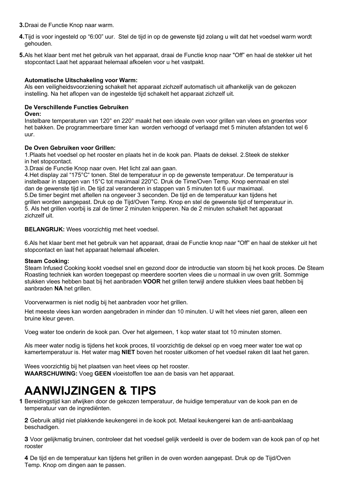**3.**Draai de Functie Knop naar warm.

- **4.**Tijd is voor ingesteld op "6:00" uur. Stel de tijd in op de gewenste tijd zolang u wilt dat het voedsel warm wordt gehouden.
- **5.**Als het klaar bent met het gebruik van het apparaat, draai de Functie knop naar "Off" en haal de stekker uit het stopcontact Laat het apparaat helemaal afkoelen voor u het vastpakt.

### **Automatische Uitschakeling voor Warm:**

Als een veiligheidsvoorziening schakelt het apparaat zichzelf automatisch uit afhankelijk van de gekozen instelling. Na het aflopen van de ingestelde tijd schakelt het apparaat zichzelf uit.

### **De Verschillende Functies Gebruiken**

### **Oven:**

Instelbare temperaturen van 120° en 220° maakt het een ideale oven voor grillen van vlees en groentes voor het bakken. De programmeerbare timer kan worden verhoogd of verlaagd met 5 minuten afstanden tot wel 6 uur.

### **De Oven Gebruiken voor Grillen:**

1.Plaats het voedsel op het rooster en plaats het in de kook pan. Plaats de deksel. 2.Steek de stekker in het stopcontact.

3.Draai de Functie Knop naar oven. Het licht zal aan gaan.

4.Het display zal "175°C" tonen. Stel de temperatuur in op de gewenste temperatuur. De temperatuur is instelbaar in stappen van 15°C tot maximaal 220°C. Druk de Time/Oven Temp. Knop eenmaal en stel dan de gewenste tijd in. De tijd zal veranderen in stappen van 5 minuten tot 6 uur maximaal. 5.De timer begint met aftellen na ongeveer 3 seconden. De tijd en de temperatuur kan tijdens het grillen worden aangepast. Druk op de Tijd/Oven Temp. Knop en stel de gewenste tijd of temperatuur in. 5. Als het grillen voorbij is zal de timer 2 minuten knipperen. Na de 2 minuten schakelt het apparaat zichzelf uit.

### **BELANGRIJK:** Wees voorzichtig met heet voedsel.

6.Als het klaar bent met het gebruik van het apparaat, draai de Functie knop naar "Off" en haal de stekker uit het stopcontact en laat het apparaat helemaal afkoelen.

### **Steam Cooking:**

Steam Infused Cooking kookt voedsel snel en gezond door de introductie van stoom bij het kook proces. De Steam Roasting techniek kan worden toegepast op meerdere soorten vlees die u normaal in uw oven grilt. Sommige stukken vlees hebben baat bij het aanbraden **VOOR** het grillen terwijl andere stukken vlees baat hebben bij aanbraden **NA** het grillen.

Voorverwarmen is niet nodig bij het aanbraden voor het grillen.

Het meeste vlees kan worden aangebraden in minder dan 10 minuten. U wilt het vlees niet garen, alleen een bruine kleur geven.

Voeg water toe onderin de kook pan. Over het algemeen, 1 kop water staat tot 10 minuten stomen.

Als meer water nodig is tijdens het kook proces, til voorzichtig de deksel op en voeg meer water toe wat op kamertemperatuur is. Het water mag **NIET** boven het rooster uitkomen of het voedsel raken dit laat het garen.

Wees voorzichtig bij het plaatsen van heet vlees op het rooster. **WAARSCHUWING:** Voeg **GEEN** vloeistoffen toe aan de basis van het apparaat.

## **AANWIJZINGEN & TIPS**

**1** Bereidingstijd kan afwijken door de gekozen temperatuur, de huidige temperatuur van de kook pan en de temperatuur van de ingrediënten.

**2** Gebruik altijd niet plakkende keukengerei in de kook pot. Metaal keukengerei kan de anti-aanbaklaag beschadigen.

**3** Voor gelijkmatig bruinen, controleer dat het voedsel gelijk verdeeld is over de bodem van de kook pan of op het rooster

**4** De tijd en de temperatuur kan tijdens het grillen in de oven worden aangepast. Druk op de Tijd/Oven Temp. Knop om dingen aan te passen.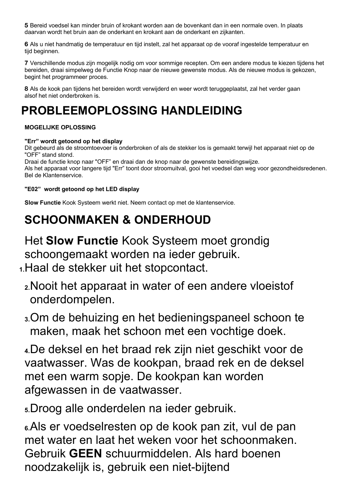**5** Bereid voedsel kan minder bruin of krokant worden aan de bovenkant dan in een normale oven. In plaats daarvan wordt het bruin aan de onderkant en krokant aan de onderkant en zijkanten.

**6** Als u niet handmatig de temperatuur en tijd instelt, zal het apparaat op de vooraf ingestelde temperatuur en tijd beginnen.

**7** Verschillende modus zijn mogelijk nodig om voor sommige recepten. Om een andere modus te kiezen tijdens het bereiden, draai simpelweg de Functie Knop naar de nieuwe gewenste modus. Als de nieuwe modus is gekozen, begint het programmeer proces.

**8** Als de kook pan tijdens het bereiden wordt verwijderd en weer wordt teruggeplaatst, zal het verder gaan alsof het niet onderbroken is.

## **PROBLEEMOPLOSSING HANDLEIDING**

## **MOGELIJKE OPLOSSING**

## **"Err" wordt getoond op het display**

Dit gebeurd als de stroomtoevoer is onderbroken of als de stekker los is gemaakt terwijl het apparaat niet op de "OFF" stand stond.

Draai de functie knop naar "OFF" en draai dan de knop naar de gewenste bereidingswijze.

Als het apparaat voor langere tijd "Err" toont door stroomuitval, gooi het voedsel dan weg voor gezondheidsredenen. Bel de Klantenservice.

## **"E02" wordt getoond op het LED display**

**Slow Functie** Kook Systeem werkt niet. Neem contact op met de klantenservice.

## **SCHOONMAKEN & ONDERHOUD**

Het **Slow Functie** Kook Systeem moet grondig schoongemaakt worden na ieder gebruik. **1.**Haal de stekker uit het stopcontact.

- **2.**Nooit het apparaat in water of een andere vloeistof onderdompelen.
- **3.**Om de behuizing en het bedieningspaneel schoon te maken, maak het schoon met een vochtige doek.

**4.**De deksel en het braad rek zijn niet geschikt voor de vaatwasser. Was de kookpan, braad rek en de deksel met een warm sopje. De kookpan kan worden afgewassen in de vaatwasser.

**5.**Droog alle onderdelen na ieder gebruik.

**6.**Als er voedselresten op de kook pan zit, vul de pan met water en laat het weken voor het schoonmaken. Gebruik **GEEN** schuurmiddelen. Als hard boenen noodzakelijk is, gebruik een niet-bijtend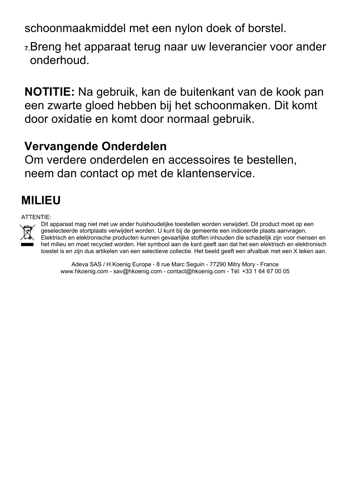schoonmaakmiddel met een nylon doek of borstel.

**7.**Breng het apparaat terug naar uw leverancier voor ander onderhoud.

**NOTITIE:** Na gebruik, kan de buitenkant van de kook pan een zwarte gloed hebben bij het schoonmaken. Dit komt door oxidatie en komt door normaal gebruik.

## **Vervangende Onderdelen**

Om verdere onderdelen en accessoires te bestellen, neem dan contact op met de klantenservice.

## **MILIEU**

## ATTENTIE:



Dit apparaat mag niet met uw ander huishoudelijke toestellen worden verwijdert. Dit product moet op een geselecteerde stortplaats verwijdert worden. U kunt bij de gemeente een indiceerde plaats aanvragen. Elektrisch en elektronische producten kunnen gevaarlijke stoffen inhouden die schadelijk zijn voor mensen en het milieu en moet recycled worden. Het symbool aan de kant geeft aan dat het een elektrisch en elektronisch toestel is en zijn dus artikelen van een selectieve collectie. Het beeld geeft een afvalbak met een X teken aan.

Adeva SAS / H.Koenig Europe - 8 rue Marc Seguin - 77290 Mitry Mory - France www.hkoenig.com - sav@hkoenig.com - contact@hkoenig.com - Tél: +33 1 64 67 00 05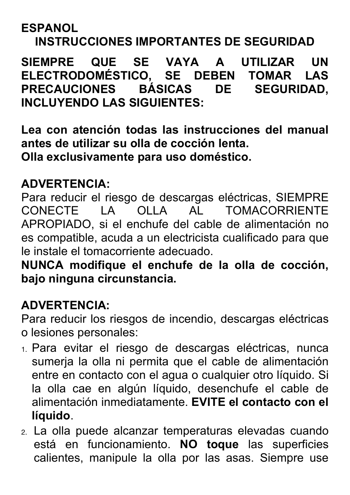## **ESPANOL**

## **INSTRUCCIONES IMPORTANTES DE SEGURIDAD**

**SIEMPRE QUE SE VAYA A UTILIZAR UN ELECTRODOMÉSTICO, SE DEBEN TOMAR LAS PRECAUCIONES BÁSICAS DE SEGURIDAD, INCLUYENDO LAS SIGUIENTES:**

**Lea con atención todas las instrucciones del manual antes de utilizar su olla de cocción lenta. Olla exclusivamente para uso doméstico.**

## **ADVERTENCIA:**

Para reducir el riesgo de descargas eléctricas, SIEMPRE CONECTE LA OLLA AL TOMACORRIENTE APROPIADO, si el enchufe del cable de alimentación no es compatible, acuda a un electricista cualificado para que le instale el tomacorriente adecuado.

**NUNCA modifique el enchufe de la olla de cocción, bajo ninguna circunstancia.**

## **ADVERTENCIA:**

Para reducir los riesgos de incendio, descargas eléctricas o lesiones personales:

- 1. Para evitar el riesgo de descargas eléctricas, nunca sumerja la olla ni permita que el cable de alimentación entre en contacto con el agua o cualquier otro líquido. Si la olla cae en algún líquido, desenchufe el cable de alimentación inmediatamente. **EVITE el contacto con el líquido**.
- 2. La olla puede alcanzar temperaturas elevadas cuando está en funcionamiento. **NO toque** las superficies calientes, manipule la olla por las asas. Siempre use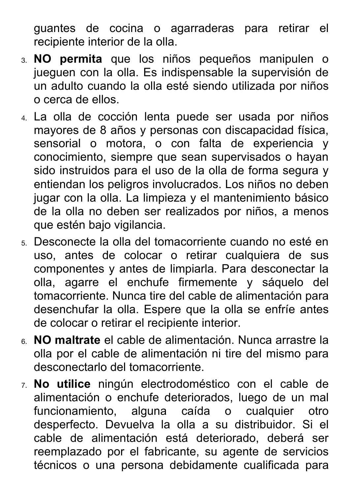guantes de cocina o agarraderas para retirar el recipiente interior de la olla.

- 3. **NO permita** que los niños pequeños manipulen o jueguen con la olla. Es indispensable la supervisión de un adulto cuando la olla esté siendo utilizada por niños o cerca de ellos.
- 4. La olla de cocción lenta puede ser usada por niños mayores de 8 años y personas con discapacidad física, sensorial o motora, o con falta de experiencia y conocimiento, siempre que sean supervisados o hayan sido instruidos para el uso de la olla de forma segura y entiendan los peligros involucrados. Los niños no deben jugar con la olla. La limpieza y el mantenimiento básico de la olla no deben ser realizados por niños, a menos que estén bajo vigilancia.
- 5. Desconecte la olla del tomacorriente cuando no esté en uso, antes de colocar o retirar cualquiera de sus componentes y antes de limpiarla. Para desconectar la olla, agarre el enchufe firmemente y sáquelo del tomacorriente. Nunca tire del cable de alimentación para desenchufar la olla. Espere que la olla se enfríe antes de colocar o retirar el recipiente interior.
- 6. **NO maltrate** el cable de alimentación. Nunca arrastre la olla por el cable de alimentación ni tire del mismo para desconectarlo del tomacorriente.
- 7. **No utilice** ningún electrodoméstico con el cable de alimentación o enchufe deteriorados, luego de un mal funcionamiento, alguna caída o cualquier otro desperfecto. Devuelva la olla a su distribuidor. Si el cable de alimentación está deteriorado, deberá ser reemplazado por el fabricante, su agente de servicios técnicos o una persona debidamente cualificada para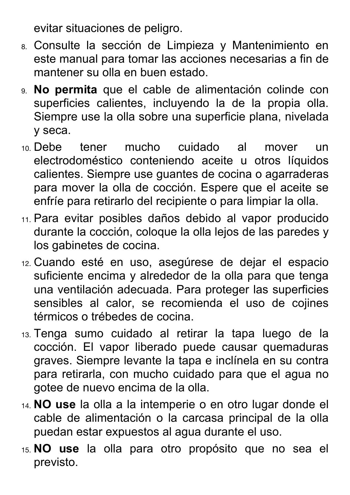evitar situaciones de peligro.

- 8. Consulte la sección de Limpieza y Mantenimiento en este manual para tomar las acciones necesarias a fin de mantener su olla en buen estado.
- 9. **No permita** que el cable de alimentación colinde con superficies calientes, incluyendo la de la propia olla. Siempre use la olla sobre una superficie plana, nivelada y seca.
- 10. Debe tener mucho cuidado al mover un electrodoméstico conteniendo aceite u otros líquidos calientes. Siempre use guantes de cocina o agarraderas para mover la olla de cocción. Espere que el aceite se enfríe para retirarlo del recipiente o para limpiar la olla.
- 11. Para evitar posibles daños debido al vapor producido durante la cocción, coloque la olla lejos de las paredes y los gabinetes de cocina.
- 12. Cuando esté en uso, asegúrese de dejar el espacio suficiente encima y alrededor de la olla para que tenga una ventilación adecuada. Para proteger las superficies sensibles al calor, se recomienda el uso de cojines térmicos o trébedes de cocina.
- 13. Tenga sumo cuidado al retirar la tapa luego de la cocción. El vapor liberado puede causar quemaduras graves. Siempre levante la tapa e inclínela en su contra para retirarla, con mucho cuidado para que el agua no gotee de nuevo encima de la olla.
- 14. **NO use** la olla a la intemperie o en otro lugar donde el cable de alimentación o la carcasa principal de la olla puedan estar expuestos al agua durante el uso.
- 15. **NO use** la olla para otro propósito que no sea el previsto.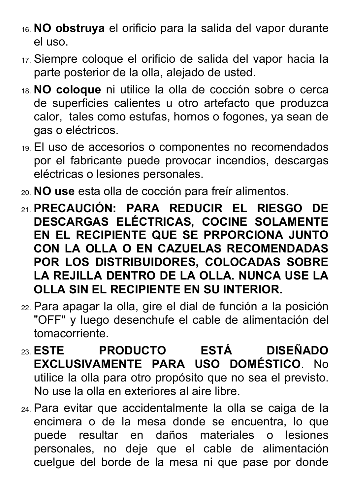- 16. **NO obstruya** el orificio para la salida del vapor durante el uso.
- 17. Siempre coloque el orificio de salida del vapor hacia la parte posterior de la olla, alejado de usted.
- 18. **NO coloque** ni utilice la olla de cocción sobre o cerca de superficies calientes u otro artefacto que produzca calor, tales como estufas, hornos o fogones, ya sean de gas o eléctricos.
- 19. El uso de accesorios o componentes no recomendados por el fabricante puede provocar incendios, descargas eléctricas o lesiones personales.
- 20. **NO use** esta olla de cocción para freír alimentos.
- 21. **PRECAUCIÓN: PARA REDUCIR EL RIESGO DE DESCARGAS ELÉCTRICAS, COCINE SOLAMENTE EN EL RECIPIENTE QUE SE PRPORCIONA JUNTO CON LA OLLA O EN CAZUELAS RECOMENDADAS POR LOS DISTRIBUIDORES, COLOCADAS SOBRE LA REJILLA DENTRO DE LA OLLA. NUNCA USE LA OLLA SIN EL RECIPIENTE EN SU INTERIOR.**
- 22. Para apagar la olla, gire el dial de función a la posición "OFF" y luego desenchufe el cable de alimentación del tomacorriente.
- 23. **ESTE PRODUCTO ESTÁ DISEÑADO EXCLUSIVAMENTE PARA USO DOMÉSTICO**. No utilice la olla para otro propósito que no sea el previsto. No use la olla en exteriores al aire libre.
- 24. Para evitar que accidentalmente la olla se caiga de la encimera o de la mesa donde se encuentra, lo que puede resultar en daños materiales o lesiones personales, no deje que el cable de alimentación cuelgue del borde de la mesa ni que pase por donde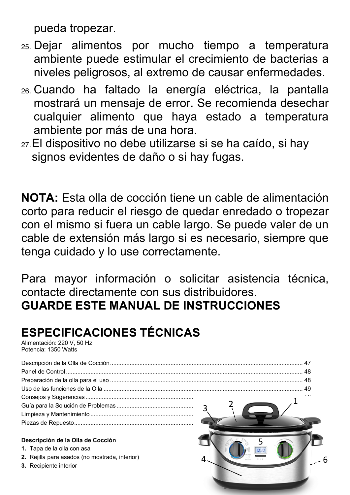pueda tropezar.

- 25. Dejar alimentos por mucho tiempo a temperatura ambiente puede estimular el crecimiento de bacterias a niveles peligrosos, al extremo de causar enfermedades.
- 26. Cuando ha faltado la energía eléctrica, la pantalla mostrará un mensaje de error. Se recomienda desechar cualquier alimento que haya estado a temperatura ambiente por más de una hora.
- 27.El dispositivo no debe utilizarse si se ha caído, si hay signos evidentes de daño o si hay fugas.

**NOTA:** Esta olla de cocción tiene un cable de alimentación corto para reducir el riesgo de quedar enredado o tropezar con el mismo si fuera un cable largo. Se puede valer de un cable de extensión más largo si es necesario, siempre que tenga cuidado y lo use correctamente.

Para mayor información o solicitar asistencia técnica, contacte directamente con sus distribuidores. **GUARDE ESTE MANUAL DE INSTRUCCIONES**

## **ESPECIFICACIONES TÉCNICAS**

Alimentación: 220 V, 50 Hz Potencia: 1350 Watts

| Descripción de la Olla de Cocción              |  |
|------------------------------------------------|--|
| 1. Tapa de la olla con asa                     |  |
| 2. Rejilla para asados (no mostrada, interior) |  |
| 3. Recipiente interior                         |  |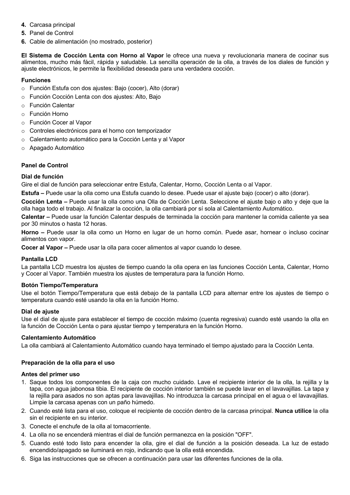- **4.** Carcasa principal
- **5.** Panel de Control
- **6.** Cable de alimentación (no mostrado, posterior)

**El Sistema de Cocción Lenta con Horno al Vapor** le ofrece una nueva y revolucionaria manera de cocinar sus alimentos, mucho más fácil, rápida y saludable. La sencilla operación de la olla, a través de los diales de función y ajuste electrónicos, le permite la flexibilidad deseada para una verdadera cocción.

## **Funciones**

- o Función Estufa con dos ajustes: Bajo (cocer), Alto (dorar)
- o Función Cocción Lenta con dos ajustes: Alto, Bajo
- o Función Calentar
- o Función Horno
- o Función Cocer al Vapor
- o Controles electrónicos para el horno con temporizador
- o Calentamiento automático para la Cocción Lenta y al Vapor
- o Apagado Automático

### **Panel de Control**

### **Dial de función**

Gire el dial de función para seleccionar entre Estufa, Calentar, Horno, Cocción Lenta o al Vapor.

**Estufa –** Puede usar la olla como una Estufa cuando lo desee. Puede usar el ajuste bajo (cocer) o alto (dorar).

**Cocción Lenta –** Puede usar la olla como una Olla de Cocción Lenta. Seleccione el ajuste bajo o alto y deje que la olla haga todo el trabajo. Al finalizar la cocción, la olla cambiará por sí sola al Calentamiento Automático.

**Calentar –** Puede usar la función Calentar después de terminada la cocción para mantener la comida caliente ya sea por 30 minutos o hasta 12 horas.

**Horno –** Puede usar la olla como un Horno en lugar de un horno común. Puede asar, hornear o incluso cocinar alimentos con vapor.

**Cocer al Vapor –** Puede usar la olla para cocer alimentos al vapor cuando lo desee.

### **Pantalla LCD**

La pantalla LCD muestra los ajustes de tiempo cuando la olla opera en las funciones Cocción Lenta, Calentar, Horno y Cocer al Vapor. También muestra los ajustes de temperatura para la función Horno.

### **Botón Tiempo/Temperatura**

Use el botón Tiempo/Temperatura que está debajo de la pantalla LCD para alternar entre los ajustes de tiempo o temperatura cuando esté usando la olla en la función Horno.

### **Dial de ajuste**

Use el dial de ajuste para establecer el tiempo de cocción máximo (cuenta regresiva) cuando esté usando la olla en la función de Cocción Lenta o para ajustar tiempo y temperatura en la función Horno.

### **Calentamiento Automático**

La olla cambiará al Calentamiento Automático cuando haya terminado el tiempo ajustado para la Cocción Lenta.

### **Preparación de la olla para el uso**

### **Antes del primer uso**

- 1. Saque todos los componentes de la caja con mucho cuidado. Lave el recipiente interior de la olla, la rejilla y la tapa, con agua jabonosa tibia. El recipiente de cocción interior también se puede lavar en el lavavajillas. La tapa y la rejilla para asados no son aptas para lavavajillas. No introduzca la carcasa principal en el agua o el lavavajillas. Limpie la carcasa apenas con un paño húmedo.
- 2. Cuando esté lista para el uso, coloque el recipiente de cocción dentro de la carcasa principal. **Nunca utilice** la olla sin el recipiente en su interior.
- 3. Conecte el enchufe de la olla al tomacorriente.
- 4. La olla no se encenderá mientras el dial de función permanezca en la posición "OFF".
- 5. Cuando esté todo listo para encender la olla, gire el dial de función a la posición deseada. La luz de estado encendido/apagado se iluminará en rojo, indicando que la olla está encendida.
- 6. Siga las instrucciones que se ofrecen a continuación para usar las diferentes funciones de la olla.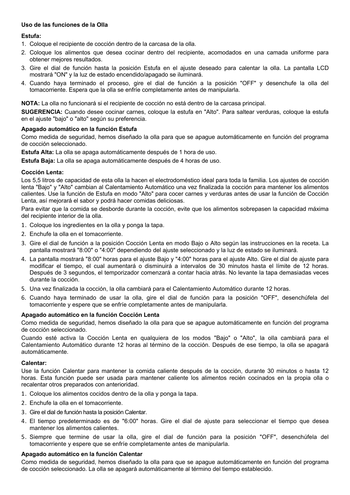### **Uso de las funciones de la Olla**

### **Estufa:**

- 1. Coloque el recipiente de cocción dentro de la carcasa de la olla.
- 2. Coloque los alimentos que desea cocinar dentro del recipiente, acomodados en una camada uniforme para obtener mejores resultados.
- 3. Gire el dial de función hasta la posición Estufa en el ajuste deseado para calentar la olla. La pantalla LCD mostrará "ON" y la luz de estado encendido/apagado se iluminará.
- 4. Cuando haya terminado el proceso, gire el dial de función a la posición "OFF" y desenchufe la olla del tomacorriente. Espera que la olla se enfríe completamente antes de manipularla.

**NOTA:** La olla no funcionará si el recipiente de cocción no está dentro de la carcasa principal.

**SUGERENCIA:** Cuando desee cocinar carnes, coloque la estufa en "Alto". Para saltear verduras, coloque la estufa en el ajuste "bajo" o "alto" según su preferencia.

### **Apagado automático en la función Estufa**

Como medida de seguridad, hemos diseñado la olla para que se apague automáticamente en función del programa de cocción seleccionado.

**Estufa Alta:** La olla se apaga automáticamente después de 1 hora de uso.

**Estufa Baja:** La olla se apaga automáticamente después de 4 horas de uso.

### **Cocción Lenta:**

Los 5,5 litros de capacidad de esta olla la hacen el electrodoméstico ideal para toda la familia. Los ajustes de cocción lenta "Bajo" y "Alto" cambian al Calentamiento Automático una vez finalizada la cocción para mantener los alimentos calientes. Use la función de Estufa en modo "Alto" para cocer carnes y verduras antes de usar la función de Cocción Lenta, así mejorará el sabor y podrá hacer comidas deliciosas.

Para evitar que la comida se desborde durante la cocción, evite que los alimentos sobrepasen la capacidad máxima del recipiente interior de la olla.

- 1. Coloque los ingredientes en la olla y ponga la tapa.
- 2. Enchufe la olla en el tomacorriente.
- 3. Gire el dial de función a la posición Cocción Lenta en modo Bajo o Alto según las instrucciones en la receta. La pantalla mostrará "8:00" o "4:00" dependiendo del ajuste seleccionado y la luz de estado se iluminará.
- 4. La pantalla mostrará "8:00" horas para el ajuste Bajo y "4:00" horas para el ajuste Alto. Gire el dial de ajuste para modificar el tiempo, el cual aumentará o disminuirá a intervalos de 30 minutos hasta el límite de 12 horas. Después de 3 segundos, el temporizador comenzará a contar hacia atrás. No levante la tapa demasiadas veces durante la cocción.
- 5. Una vez finalizada la cocción, la olla cambiará para el Calentamiento Automático durante 12 horas.
- 6. Cuando haya terminado de usar la olla, gire el dial de función para la posición "OFF", desenchúfela del tomacorriente y espere que se enfríe completamente antes de manipularla.

### **Apagado automático en la función Cocción Lenta**

Como medida de seguridad, hemos diseñado la olla para que se apague automáticamente en función del programa de cocción seleccionado.

Cuando esté activa la Cocción Lenta en qualquiera de los modos "Bajo" o "Alto", la olla cambiará para el Calentamiento Automático durante 12 horas al término de la cocción. Después de ese tiempo, la olla se apagará automáticamente.

#### **Calentar:**

Use la función Calentar para mantener la comida caliente después de la cocción, durante 30 minutos o hasta 12 horas. Esta función puede ser usada para mantener caliente los alimentos recién cocinados en la propia olla o recalentar otros preparados con anterioridad.

- 1. Coloque los alimentos cocidos dentro de la olla y ponga la tapa.
- 2. Enchufe la olla en el tomacorriente.
- 3. Gire el dial de función hasta la posición Calentar.
- 4. El tiempo predeterminado es de "6:00" horas. Gire el dial de ajuste para seleccionar el tiempo que desea mantener los alimentos calientes.
- 5. Siempre que termine de usar la olla, gire el dial de función para la posición "OFF", desenchúfela del tomacorriente y espere que se enfríe completamente antes de manipularla.

### **Apagado automático en la función Calentar**

Como medida de seguridad, hemos diseñado la olla para que se apague automáticamente en función del programa de cocción seleccionado. La olla se apagará automáticamente al término del tiempo establecido.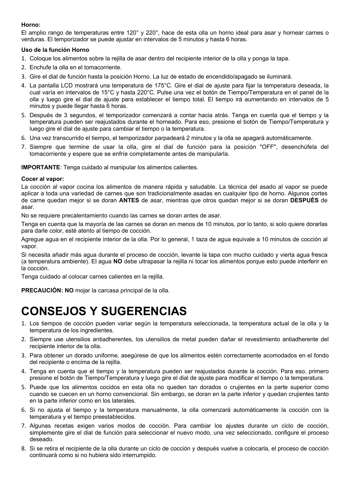### **Horno:**

El amplio rango de temperaturas entre 120° y 220°, hace de esta olla un horno ideal para asar y hornear carnes o verduras. El temporizador se puede ajustar en intervalos de 5 minutos y hasta 6 horas.

### **Uso de la función Horno**

- 1. Coloque los alimentos sobre la rejilla de asar dentro del recipiente interior de la olla y ponga la tapa.
- 2. Enchufe la olla en el tomacorriente.
- 3. Gire el dial de función hasta la posición Horno. La luz de estado de encendido/apagado se iluminará.
- 4. La pantalla LCD mostrará una temperatura de 175°C. Gire el dial de ajuste para fijar la temperatura deseada, la cual varía en intervalos de 15°C y hasta 220°C. Pulse una vez el botón de Tiempo/Temperatura en el panel de la olla y luego gire el dial de ajuste para establecer el tiempo total. El tiempo irá aumentando en intervalos de 5 minutos y puede llegar hasta 6 horas.
- 5. Después de 3 segundos, el temporizador comenzará a contar hacia atrás. Tenga en cuenta que el tiempo y la temperatura pueden ser reajustados durante el horneado. Para eso, presione el botón de Tiempo/Temperatura y luego gire el dial de ajuste para cambiar el tiempo o la temperatura.
- 6. Una vez transcurrido el tiempo, el temporizador parpadeará 2 minutos y la olla se apagará automáticamente.
- 7. Siempre que termine de usar la olla, gire el dial de función para la posición "OFF", desenchúfela del tomacorriente y espere que se enfríe completamente antes de manipularla.

**IMPORTANTE**: Tenga cuidado al manipular los alimentos calientes.

### **Cocer al vapor:**

La cocción al vapor cocina los alimentos de manera rápida y saludable. La técnica del asado al vapor se puede aplicar a toda una variedad de carnes que son tradicionalmente asadas en cualquier tipo de horno. Algunos cortes de carne quedan mejor si se doran **ANTES** de asar, mientras que otros quedan mejor si se doran **DESPUÉS** de asar.

No se requiere precalentamiento cuando las carnes se doran antes de asar.

Tenga en cuenta que la mayoría de las carnes se doran en menos de 10 minutos, por lo tanto, si solo quiere dorarlas para darle color, esté atento al tiempo de cocción.

Agregue agua en el recipiente interior de la olla. Por lo general, 1 taza de agua equivale a 10 minutos de cocción al vapor.

Si necesita añadir más agua durante el proceso de cocción, levante la tapa con mucho cuidado y vierta agua fresca (a temperatura ambiente). El agua **NO** debe ultrapasar la rejilla ni tocar los alimentos porque esto puede interferir en la cocción.

Tenga cuidado al colocar carnes calientes en la rejilla.

**PRECAUCIÓN: NO** mojar la carcasa principal de la olla.

## **CONSEJOS Y SUGERENCIAS**

- 1. Los tiempos de cocción pueden variar según la temperatura seleccionada, la temperatura actual de la olla y la temperatura de los ingredientes.
- 2. Siempre use utensilios antiadherentes, los utensilios de metal pueden dañar el revestimiento antiadherente del recipiente interior de la olla.
- 3. Para obtener un dorado uniforme, asegúrese de que los alimentos estén correctamente acomodados en el fondo del recipiente o encima de la rejilla.
- 4. Tenga en cuenta que el tiempo y la temperatura pueden ser reajustados durante la cocción. Para eso, primero presione el botón de Tiempo/Temperatura y luego gire el dial de ajuste para modificar el tiempo o la temperatura.
- 5. Puede que los alimentos cocidos en esta olla no queden tan dorados o crujientes en la parte superior como cuando se cuecen en un horno convencional. Sin embargo, se doran en la parte inferior y quedan crujientes tanto en la parte inferior como en los laterales.
- 6. Si no ajusta el tiempo y la temperatura manualmente, la olla comenzará automáticamente la cocción con la temperatura y el tiempo preestablecidos.
- 7. Algunas recetas exigen varios modos de cocción. Para cambiar los ajustes durante un ciclo de cocción, simplemente gire el dial de función para seleccionar el nuevo modo, una vez seleccionado, configure el proceso deseado.
- 8. Si se retira el recipiente de la olla durante un ciclo de cocción y después vuelve a colocarla, el proceso de cocción continuará como si no hubiera sido interrumpido.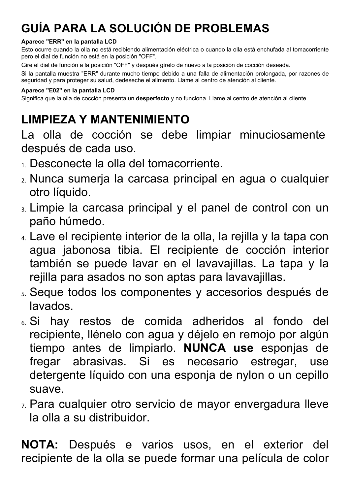## **GUÍA PARA LA SOLUCIÓN DE PROBLEMAS**

## **Aparece "ERR" en la pantalla LCD**

Esto ocurre cuando la olla no está recibiendo alimentación eléctrica o cuando la olla está enchufada al tomacorriente pero el dial de función no está en la posición "OFF".

Gire el dial de función a la posición "OFF" y después gírelo de nuevo a la posición de cocción deseada.

Si la pantalla muestra "ERR" durante mucho tiempo debido a una falla de alimentación prolongada, por razones de seguridad y para proteger su salud, dedeseche el alimento. Llame al centro de atención al cliente.

## **Aparece "E02" en la pantalla LCD**

Significa que la olla de cocción presenta un **desperfecto** y no funciona. Llame al centro de atención al cliente.

## **LIMPIEZA Y MANTENIMIENTO**

La olla de cocción se debe limpiar minuciosamente después de cada uso.

- 1. Desconecte la olla del tomacorriente.
- 2. Nunca sumerja la carcasa principal en agua o cualquier otro líquido.
- 3. Limpie la carcasa principal y el panel de control con un paño húmedo.
- 4. Lave el recipiente interior de la olla, la rejilla y la tapa con agua jabonosa tibia. El recipiente de cocción interior también se puede lavar en el lavavajillas. La tapa y la rejilla para asados no son aptas para lavavajillas.
- 5. Seque todos los componentes y accesorios después de lavados.
- 6. Si hay restos de comida adheridos al fondo del recipiente, llénelo con agua y déjelo en remojo por algún tiempo antes de limpiarlo. **NUNCA use** esponjas de fregar abrasivas. Si es necesario estregar, use detergente líquido con una esponja de nylon o un cepillo suave.
- 7. Para cualquier otro servicio de mayor envergadura lleve la olla a su distribuidor.

**NOTA:** Después e varios usos, en el exterior del recipiente de la olla se puede formar una película de color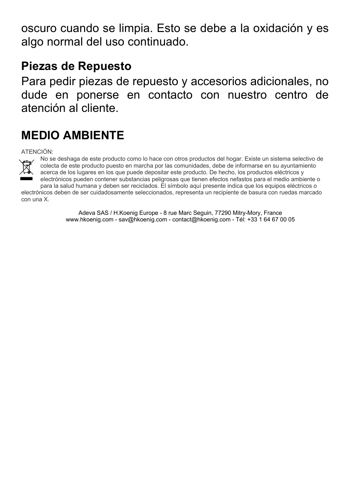oscuro cuando se limpia. Esto se debe a la oxidación y es algo normal del uso continuado.

## **Piezas de Repuesto**

Para pedir piezas de repuesto y accesorios adicionales, no dude en ponerse en contacto con nuestro centro de atención al cliente.

## **MEDIO AMBIENTE**

ATENCIÓN:



No se deshaga de este producto como lo hace con otros productos del hogar. Existe un sistema selectivo de colecta de este producto puesto en marcha por las comunidades, debe de informarse en su ayuntamiento acerca de los lugares en los que puede depositar este producto. De hecho, los productos eléctricos y electrónicos pueden contener substancias peligrosas que tienen efectos nefastos para el medio ambiente o

para la salud humana y deben ser reciclados. El símbolo aquí presente indica que los equipos eléctricos o electrónicos deben de ser cuidadosamente seleccionados, representa un recipiente de basura con ruedas marcado con una X.

> Adeva SAS / H.Koenig Europe - 8 rue Marc Seguin, 77290 Mitry-Mory, France www.hkoenig.com - sav@hkoenig.com - contact@hkoenig.com - Tél: +33 1 64 67 00 05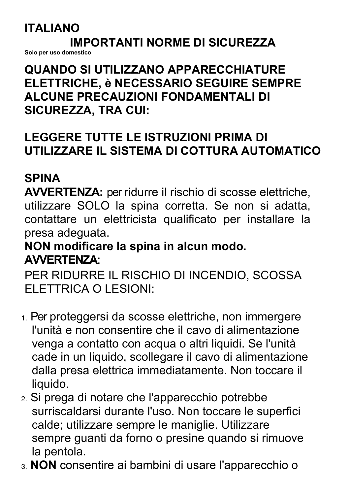## **ITALIANO**

## **IMPORTANTI NORME DI SICUREZZA**

**Solo per uso domestico**

## **QUANDO SI UTILIZZANO APPARECCHIATURE ELETTRICHE, è NECESSARIO SEGUIRE SEMPRE ALCUNE PRECAUZIONI FONDAMENTALI DI SICUREZZA, TRA CUI:**

## **LEGGERE TUTTE LE ISTRUZIONI PRIMA DI UTILIZZARE IL SISTEMA DI COTTURA AUTOMATICO**

## **SPINA**

**AVVERTENZA:** per ridurre il rischio di scosse elettriche, utilizzare SOLO la spina corretta. Se non si adatta, contattare un elettricista qualificato per installare la presa adeguata.

## **NON modificare la spina in alcun modo. AVVERTENZA**:

PER RIDURRE IL RISCHIO DI INCENDIO, SCOSSA ELETTRICA O LESIONI:

- 1. Per proteggersi da scosse elettriche, non immergere l'unità e non consentire che il cavo di alimentazione venga a contatto con acqua o altri liquidi. Se l'unità cade in un liquido, scollegare il cavo di alimentazione dalla presa elettrica immediatamente. Non toccare il liquido.
- 2. Si prega di notare che l'apparecchio potrebbe surriscaldarsi durante l'uso. Non toccare le superfici calde; utilizzare sempre le maniglie. Utilizzare sempre guanti da forno o presine quando si rimuove la pentola.
- 3. **NON** consentire ai bambini di usare l'apparecchio o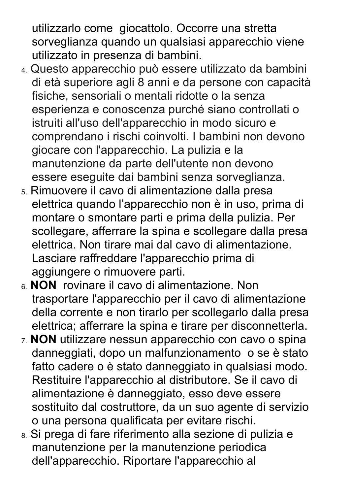utilizzarlo come giocattolo. Occorre una stretta sorveglianza quando un qualsiasi apparecchio viene utilizzato in presenza di bambini.

- 4. Questo apparecchio può essere utilizzato da bambini di età superiore agli 8 anni e da persone con capacità fisiche, sensoriali o mentali ridotte o la senza esperienza e conoscenza purché siano controllati o istruiti all'uso dell'apparecchio in modo sicuro e comprendano i rischi coinvolti. I bambini non devono giocare con l'apparecchio. La pulizia e la manutenzione da parte dell'utente non devono essere eseguite dai bambini senza sorveglianza.
- 5. Rimuovere il cavo di alimentazione dalla presa elettrica quando l'apparecchio non è in uso, prima di montare o smontare parti e prima della pulizia. Per scollegare, afferrare la spina e scollegare dalla presa elettrica. Non tirare mai dal cavo di alimentazione. Lasciare raffreddare l'apparecchio prima di aggiungere o rimuovere parti.
- 6. **NON** rovinare il cavo di alimentazione. Non trasportare l'apparecchio per il cavo di alimentazione della corrente e non tirarlo per scollegarlo dalla presa elettrica; afferrare la spina e tirare per disconnetterla.
- 7. **NON** utilizzare nessun apparecchio con cavo o spina danneggiati, dopo un malfunzionamento o se è stato fatto cadere o è stato danneggiato in qualsiasi modo. Restituire l'apparecchio al distributore. Se il cavo di alimentazione è danneggiato, esso deve essere sostituito dal costruttore, da un suo agente di servizio o una persona qualificata per evitare rischi.
- 8. Si prega di fare riferimento alla sezione di pulizia e manutenzione per la manutenzione periodica dell'apparecchio. Riportare l'apparecchio al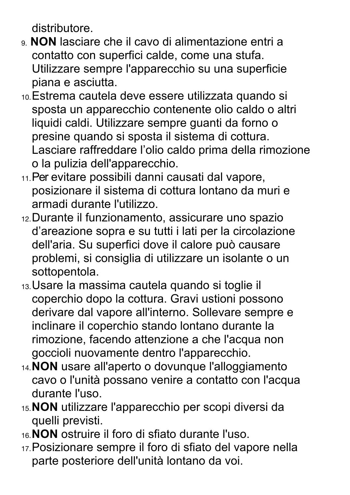distributore.

- 9. **NON** lasciare che il cavo di alimentazione entri a contatto con superfici calde, come una stufa. Utilizzare sempre l'apparecchio su una superficie piana e asciutta.
- 10.Estrema cautela deve essere utilizzata quando si sposta un apparecchio contenente olio caldo o altri liquidi caldi. Utilizzare sempre guanti da forno o presine quando si sposta il sistema di cottura. Lasciare raffreddare l'olio caldo prima della rimozione o la pulizia dell'apparecchio.
- 11.Per evitare possibili danni causati dal vapore, posizionare il sistema di cottura lontano da muri e armadi durante l'utilizzo.
- 12.Durante il funzionamento, assicurare uno spazio d'areazione sopra e su tutti i lati per la circolazione dell'aria. Su superfici dove il calore può causare problemi, si consiglia di utilizzare un isolante o un sottopentola.
- 13.Usare la massima cautela quando si toglie il coperchio dopo la cottura. Gravi ustioni possono derivare dal vapore all'interno. Sollevare sempre e inclinare il coperchio stando lontano durante la rimozione, facendo attenzione a che l'acqua non goccioli nuovamente dentro l'apparecchio.
- 14.**NON** usare all'aperto o dovunque l'alloggiamento cavo o l'unità possano venire a contatto con l'acqua durante l'uso.
- 15.**NON** utilizzare l'apparecchio per scopi diversi da quelli previsti.
- 16.**NON** ostruire il foro di sfiato durante l'uso.
- 17.Posizionare sempre il foro di sfiato del vapore nella parte posteriore dell'unità lontano da voi.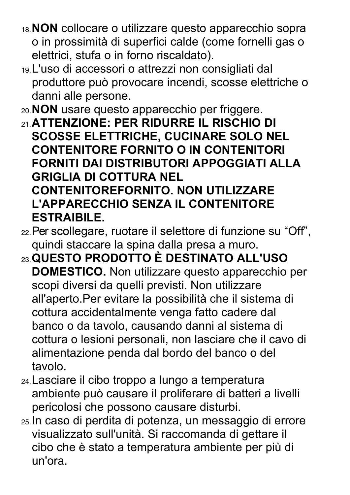- 18.**NON** collocare o utilizzare questo apparecchio sopra o in prossimità di superfici calde (come fornelli gas o elettrici, stufa o in forno riscaldato).
- 19.L'uso di accessori o attrezzi non consigliati dal produttore può provocare incendi, scosse elettriche o danni alle persone.
- 20.**NON** usare questo apparecchio per friggere.
- 21.**ATTENZIONE: PER RIDURRE IL RISCHIO DI SCOSSE ELETTRICHE, CUCINARE SOLO NEL CONTENITORE FORNITO O IN CONTENITORI FORNITI DAI DISTRIBUTORI APPOGGIATI ALLA GRIGLIA DI COTTURA NEL CONTENITOREFORNITO. NON UTILIZZARE L'APPARECCHIO SENZA IL CONTENITORE ESTRAIBILE.**
- 22.Per scollegare, ruotare il selettore di funzione su "Off", quindi staccare la spina dalla presa a muro.
- 23.**QUESTO PRODOTTO È DESTINATO ALL'USO DOMESTICO.** Non utilizzare questo apparecchio per scopi diversi da quelli previsti. Non utilizzare all'aperto.Per evitare la possibilità che il sistema di cottura accidentalmente venga fatto cadere dal banco o da tavolo, causando danni al sistema di cottura o lesioni personali, non lasciare che il cavo di alimentazione penda dal bordo del banco o del tavolo.
- 24.Lasciare il cibo troppo a lungo a temperatura ambiente può causare il proliferare di batteri a livelli pericolosi che possono causare disturbi.
- 25.In caso di perdita di potenza, un messaggio di errore visualizzato sull'unità. Si raccomanda di gettare il cibo che è stato a temperatura ambiente per più di un'ora.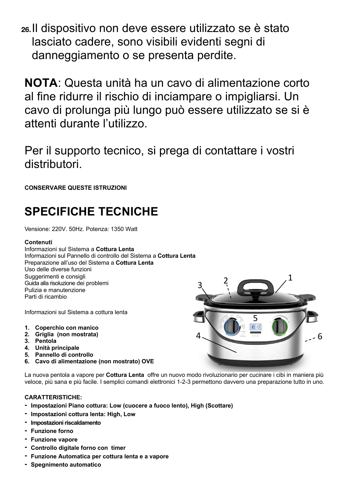**26.**Il dispositivo non deve essere utilizzato se è stato lasciato cadere, sono visibili evidenti segni di danneggiamento o se presenta perdite.

**NOTA**: Questa unità ha un cavo di alimentazione corto al fine ridurre il rischio di inciampare o impigliarsi. Un cavo di prolunga più lungo può essere utilizzato se si è attenti durante l'utilizzo.

Per il supporto tecnico, si prega di contattare i vostri distributori.

**CONSERVARE QUESTE ISTRUZIONI**

## **SPECIFICHE TECNICHE**

Vensione: 220V. 50Hz. Potenza: 1350 Watt

## **Contenuti**

Informazioni sul Sistema a **Cottura Lenta** Informazioni sul Pannello di controllo del Sistema a **Cottura Lenta** Preparazione all'uso del Sistema a **Cottura Lenta** Uso delle diverse funzioni Suggerimenti e consigli Guida alla risoluzione dei problemi Pulizia e manutenzione Parti di ricambio

Informazioni sul Sistema a cottura lenta

- **1. Coperchio con manico**
- **2. Griglia (non mostrata)**
- **3. Pentola**
- **4. Unità principale**
- **5. Pannello di controllo**
- **6. Cavo di alimentazione (non mostrato) OVE**

La nuova pentola a vapore per **Cottura Lenta** offre un nuovo modo rivoluzionario per cucinare i cibi in maniera più veloce, più sana e più facile. I semplici comandi elettronici 1-2-3 permettono davvero una preparazione tutto in uno.

## **CARATTERISTICHE:**

- **- Impostazioni Piano cottura: Low (cuocere a fuoco lento), High (Scottare)**
- **- Impostazioni cottura lenta: High, Low**
- **- Impostazioni riscaldamento**
- **- Funzione forno**
- **- Funzione vapore**
- **- Controllo digitale forno con timer**
- **- Funzione Automatica per cottura lenta e a vapore**
- **- Spegnimento automatico**

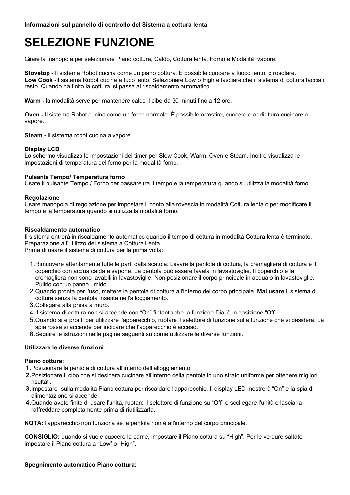## **SELEZIONE FUNZIONE**

Girare la manopola per selezionare Piano cottura, Caldo, Cottura lenta, Forno e Modalità vapore.

**Stovetop -** Il sistema Robot cucina come un piano cottura. È possibile cuocere a fuoco lento, o rosolare. **Low Cook -**Il sistema Robot cucina a fuco lento. Selezionare Low o High e lasciare che il sistema di cottura faccia il resto. Quando ha finito la cottura, si passa al riscaldamento automatico.

**Warm -** la modalità serve per mantenere caldo il cibo da 30 minuti fino a 12 ore.

**Oven -** Il sistema Robot cucina come un forno normale. È possibile arrostire, cuocere o addirittura cucinare a vapore.

**Steam -** Il sistema robot cucina a vapore.

### **Display LCD**

Lo schermo visualizza le impostazioni del timer per Slow Cook, Warm, Oven e Steam. Inoltre visualizza le impostazioni di temperatura del forno per la modalità forno.

### **Pulsante Tempo/ Temperatura forno**

Usate il pulsante Tempo / Forno per passare tra il tempo e la temperatura quando si utilizza la modalità forno.

### **Regolazione**

Usare manopola di regolazione per impostare il conto alla rovescia in modalità Cottura lenta o per modificare il tempo e la temperatura quando si utilizza la modalità forno.

#### **Riscaldamento automatico**

Il sistema entrerà in riscaldamento automatico quando il tempo di cottura in modalità Cottura lenta è terminato. Preparazione all'utilizzo del sistema a Cottura Lenta Prima di usare il sistema di cottura per la prima volta:

1.Rimuovere attentamente tutte le parti dalla scatola. Lavare la pentola di cottura, la cremagliera di cottura e il coperchio con acqua calda e sapone. La pentola può essere lavata in lavastoviglie. Il coperchio e la cremagliera non sono lavabili in lavastoviglie. Non posizionare il corpo principale in acqua o in lavastoviglie. Pulirlo con un panno umido.

- 2.Quando pronta per l'uso, mettere la pentola di cottura all'interno del corpo principale. **Mai usare** il sistema di cottura senza la pentola inserita nell'alloggiamento.
- 3.Collegare alla presa a muro.
- 4.Il sistema di cottura non si accende con "On" fintanto che la funzione Dial è in posizione "Off".
- 5.Quando si è pronti per utilizzare l'apparecchio, ruotare il selettore di funzione sulla funzione che si desidera. La spia rossa si accende per indicare che l'apparecchio è acceso.
- 6.Seguire le istruzioni nelle pagine seguenti su come utilizzare le diverse funzioni.

### **Utilizzare le diverse funzioni**

#### **Piano cottura:**

- **1.**Posizionare la pentola di cottura all'interno dell'alloggiamento.
- **2.**Posizionare il cibo che si desidera cucinare all'interno della pentola in uno strato uniforme per ottenere migliori risultati.
- **3.**Impostare sulla modalità Piano cottura per riscaldare l'apparecchio. Il display LED mostrerà "On" e la spia di alimentazione si accende.
- **4.**Quando avete finito di usare l'unità, ruotare il selettore di funzione su "Off" e scollegare l'unità e lasciarla raffreddare completamente prima di riutilizzarla.

**NOTA:** l'apparecchio non funziona se la pentola non è all'interno del corpo principale.

**CONSIGLIO:** quando si vuole cuocere la carne, impostare il Piano cottura su "High". Per le verdure saltate, impostare il Piano cottura a "Low" o "High".

### **Spegnimento automatico Piano cottura:**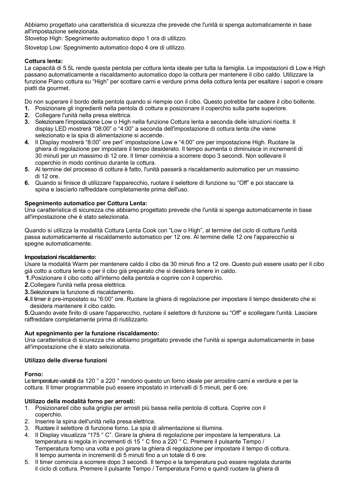Abbiamo progettato una caratteristica di sicurezza che prevede che l'unità si spenga automaticamente in base all'impostazione selezionata.

Stovetop High: Spegnimento automatico dopo 1 ora di utilizzo.

Stovetop Low: Spegnimento automatico dopo 4 ore di utilizzo.

### **Cottura lenta:**

La capacità di 5.5L rende questa pentola per cottura lenta ideale per tutta la famiglia. Le impostazioni di Low e High passano automaticamente a riscaldamento automatico dopo la cottura per mantenere il cibo caldo. Utilizzare la funzione Piano cottura su "High" per scottare carni e verdure prima della cottura lenta per esaltare i sapori e creare piatti da gourmet.

Do non superare il bordo della pentola quando si riempie con il cibo. Questo potrebbe far cadere il cibo bollente.

- **1.** Posizionare gli ingredienti nella pentola di cottura e posizionare il coperchio sulla parte superiore.
- **2.** Collegare l'unità nella presa elettrica.
- **3.** Selezionare l'impostazione Low o High nella funzione Cottura lenta a seconda delle istruzioni ricetta. Il display LED mostrerà "08:00" o "4:00" a seconda dell'impostazione di cottura lenta che viene selezionato e la spia di alimentazione si accende.
- **4.** Il Display mostrerà "8:00" ore perl' impostazione Low e "4:00" ore per impostazione High. Ruotare la ghiera di regolazione per impostare il tempo desiderato. Il tempo aumenta o diminuisce in incrementi di 30 minuti per un massimo di 12 ore. Il timer comincia a scorrere dopo 3 secondi. Non sollevare il coperchio in modo continuo durante la cottura.
- **5.** Al termine del processo di cottura è fatto, l'unità passerà a riscaldamento automatico per un massimo di 12 ore.
- **6.** Quando si finisce di utilizzare l'apparecchio, ruotare il selettore di funzione su "Off" e poi staccare la spina e lasciarlo raffreddare completamente prima dell'uso.

### **Spegnimento automatico per Cottura Lenta:**

Una caratteristica di sicurezza che abbiamo progettato prevede che l'unità si spenga automaticamente in base all'impostazione che è stato selezionata.

Quando si utilizza la modalità Cottura Lenta Cook con "Low o High", al termine del ciclo di cottura l'unità passa automaticamente al riscaldamento automatico per 12 ore. Al termine delle 12 ore l'apparecchio si spegne automaticamente.

### **Impostazioni riscaldamento:**

Usare la modalità Warm per mantenere caldo il cibo da 30 minuti fino a 12 ore. Questo può essere usato per il cibo già cotto a cottura lenta o per il cibo già preparato che si desidera tenere in caldo.

**1.**Posizionare il cibo cotto all'interno della pentola e coprire con il coperchio.

- **2.**Collegare l'unità nella presa elettrica.
- **3.**Selezionare la funzione di riscaldamento.
- **4.**Il timer è pre-impostato su "6:00" ore. Ruotare la ghiera di regolazione per impostare il tempo desiderato che si desidera mantenere il cibo caldo.

**5.**Quando avete finito di usare l'apparecchio, ruotare il selettore di funzione su "Off" e scollegare l'unità. Lasciare raffreddare completamente prima di riutilizzarlo.

## **Aut spegnimento per la funzione riscaldamento:**

Una caratteristica di sicurezza che abbiamo progettato prevede che l'unità si spenga automaticamente in base all'impostazione che è stato selezionata.

## **Utilizzo delle diverse funzioni**

### **Forno:**

Le temperature variabili da 120 ° a 220 ° rendono questo un forno ideale per arrostire carni e verdure e per la cottura. Il timer programmabile può essere impostato in intervalli di 5 minuti, per 6 ore.

## **Utilizzo della modalità forno per arrosti:**

- 1. Posizionareil cibo sulla griglia per arrosti più bassa nella pentola di cottura. Coprire con il coperchio.
- 2. Inserire la spina dell'unità nella presa elettrica.
- 3. Ruotare il selettore di funzione forno. La spia di alimentazione si illumina.
- 4. Il Display visualizza "175 ° C". Girare la ghiera di regolazione per impostare la temperatura. La temperatura si regola in incrementi di 15 ° C fino a 220 ° C. Premere il pulsante Tempo / Temperatura forno una volta e poi girare la ghiera di regolazione per impostare il tempo di cottura. Il tempo aumenta in incrementi di 5 minuti fino a un totale di 6 ore.
- 5. Il timer comincia a scorrere dopo 3 secondi. Il tempo e la temperatura può essere regolata durante il ciclo di cottura. Premere il pulsante Tempo / Temperatura Forno e quindi ruotare la ghiera di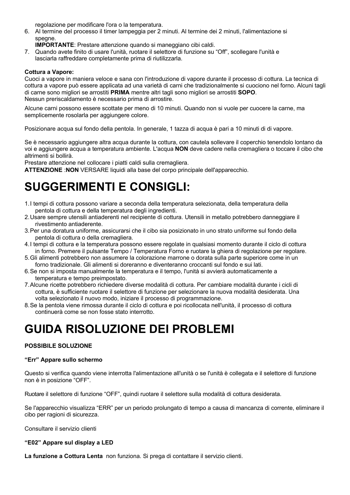regolazione per modificare l'ora o la temperatura.

6. Al termine del processo il timer lampeggia per 2 minuti. Al termine dei 2 minuti, l'alimentazione si spegne.

**IMPORTANTE**: Prestare attenzione quando si maneggiano cibi caldi.

7. Quando avete finito di usare l'unità, ruotare il selettore di funzione su "Off", scollegare l'unità e lasciarla raffreddare completamente prima di riutilizzarla.

### **Cottura a Vapore:**

Cuoci a vapore in maniera veloce e sana con l'introduzione di vapore durante il processo di cottura. La tecnica di cottura a vapore può essere applicata ad una varietà di carni che tradizionalmente si cuociono nel forno. Alcuni tagli di carne sono migliori se arrostiti **PRIMA** mentre altri tagli sono migliori se arrostiti **SOPO**. Nessun preriscaldamento è necessario prima di arrostire.

Alcune carni possono essere scottate per meno di 10 minuti. Quando non si vuole per cuocere la carne, ma semplicemente rosolarla per aggiungere colore.

Posizionare acqua sul fondo della pentola. In generale, 1 tazza di acqua è pari a 10 minuti di di vapore.

Se è necessario aggiungere altra acqua durante la cottura, con cautela sollevare il coperchio tenendolo lontano da voi e aggiungere acqua a temperatura ambiente. L'acqua **NON** deve cadere nella cremagliera o toccare il cibo che altrimenti si bollirà.

Prestare attenzione nel collocare i piatti caldi sulla cremagliera.

**ATTENZIONE** :**NON** VERSARE liquidi alla base del corpo principale dell'apparecchio.

## **SUGGERIMENTI E CONSIGLI:**

- 1.I tempi di cottura possono variare a seconda della temperatura selezionata, della temperatura della pentola di cottura e della temperatura degli ingredienti.
- 2.Usare sempre utensili antiaderenti nel recipiente di cottura. Utensili in metallo potrebbero danneggiare il rivestimento antiaderente.
- 3.Per una doratura uniforme, assicurarsi che il cibo sia posizionato in uno strato uniforme sul fondo della pentola di cottura o della cremagliera.
- 4.I tempi di cottura e la temperatura possono essere regolate in qualsiasi momento durante il ciclo di cottura in forno. Premere il pulsante Tempo / Temperatura Forno e ruotare la ghiera di regolazione per regolare.
- 5.Gli alimenti potrebbero non assumere la colorazione marrone o dorata sulla parte superiore come in un forno tradizionale. Gli alimenti si doreranno e diventeranno croccanti sul fondo e sui lati.
- 6.Se non si imposta manualmente la temperatura e il tempo, l'unità si avvierà automaticamente a temperatura e tempo preimpostato.
- 7.Alcune ricette potrebbero richiedere diverse modalità di cottura. Per cambiare modalità durante i cicli di cottura, è sufficiente ruotare il selettore di funzione per selezionare la nuova modalità desiderata. Una volta selezionato il nuovo modo, iniziare il processo di programmazione.
- 8.Se la pentola viene rimossa durante il ciclo di cottura e poi ricollocata nell'unità, il processo di cottura continuerà come se non fosse stato interrotto.

## **GUIDA RISOLUZIONE DEI PROBLEMI**

## **POSSIBILE SOLUZIONE**

### **"Err" Appare sullo schermo**

Questo si verifica quando viene interrotta l'alimentazione all'unità o se l'unità è collegata e il selettore di funzione non è in posizione "OFF".

Ruotare il selettore di funzione "OFF", quindi ruotare il selettore sulla modalità di cottura desiderata.

Se l'apparecchio visualizza "ERR" per un periodo prolungato di tempo a causa di mancanza di corrente, eliminare il cibo per ragioni di sicurezza.

Consultare il servizio clienti

#### **"E02" Appare sul display a LED**

**La funzione a Cottura Lenta** non funziona. Si prega di contattare il servizio clienti.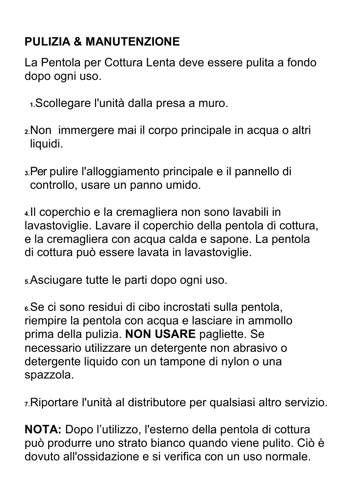## **PULIZIA & MANUTENZIONE**

La Pentola per Cottura Lenta deve essere pulita a fondo dopo ogni uso.

- **1.**Scollegare l'unità dalla presa a muro.
- **2.**Non immergere mai il corpo principale in acqua o altri liquidi.
- **3.**Per pulire l'alloggiamento principale e il pannello di controllo, usare un panno umido.

**4.**Il coperchio e la cremagliera non sono lavabili in lavastoviglie. Lavare il coperchio della pentola di cottura, e la cremagliera con acqua calda e sapone. La pentola di cottura può essere lavata in lavastoviglie.

**5.**Asciugare tutte le parti dopo ogni uso.

**6.**Se ci sono residui di cibo incrostati sulla pentola, riempire la pentola con acqua e lasciare in ammollo prima della pulizia. **NON USARE** pagliette. Se necessario utilizzare un detergente non abrasivo o detergente liquido con un tampone di nylon o una spazzola.

**7.**Riportare l'unità al distributore per qualsiasi altro servizio.

**NOTA:** Dopo l'utilizzo, l'esterno della pentola di cottura può produrre uno strato bianco quando viene pulito. Ciò è dovuto all'ossidazione e si verifica con un uso normale.